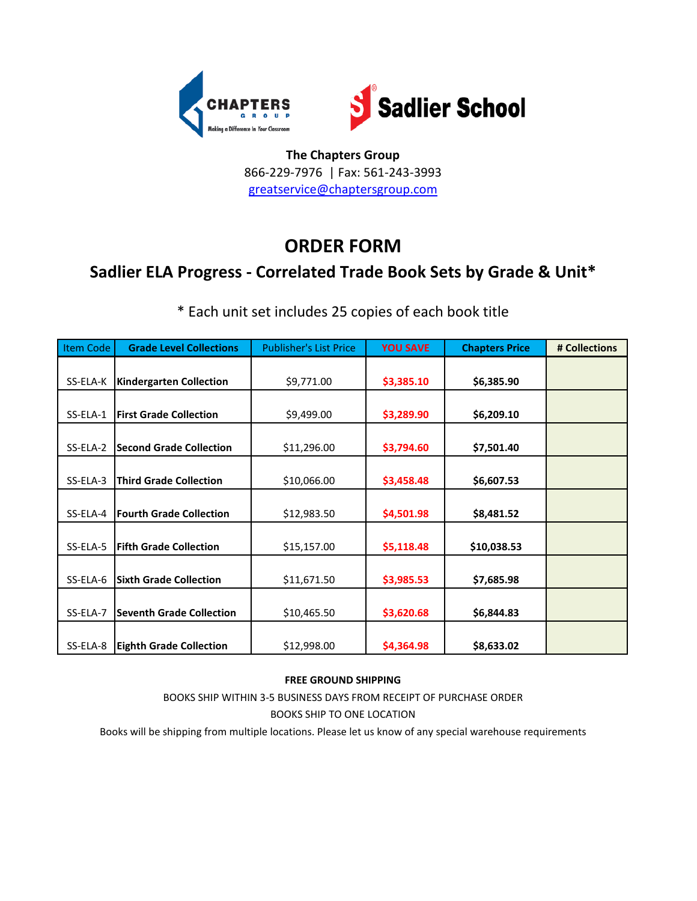



# **ORDER FORM**

## **Sadlier ELA Progress - Correlated Trade Book Sets by Grade & Unit\***

| Item Code | <b>Grade Level Collections</b>  | <b>Publisher's List Price</b> | <b>YOU SAVE</b> | <b>Chapters Price</b> | # Collections |
|-----------|---------------------------------|-------------------------------|-----------------|-----------------------|---------------|
|           |                                 |                               |                 |                       |               |
| SS-ELA-K  | <b>Kindergarten Collection</b>  | \$9,771.00                    | \$3,385.10      | \$6,385.90            |               |
|           |                                 |                               |                 |                       |               |
| SS-ELA-1  | <b>First Grade Collection</b>   | \$9,499.00                    | \$3,289.90      | \$6,209.10            |               |
|           |                                 |                               |                 |                       |               |
| SS-ELA-2  | <b>Second Grade Collection</b>  | \$11,296.00                   | \$3,794.60      | \$7,501.40            |               |
|           |                                 |                               |                 |                       |               |
| SS-ELA-3  | <b>Third Grade Collection</b>   | \$10,066.00                   | \$3,458.48      | \$6,607.53            |               |
|           |                                 |                               |                 |                       |               |
| SS-ELA-4  | <b>Fourth Grade Collection</b>  | \$12,983.50                   | \$4,501.98      | \$8,481.52            |               |
|           |                                 |                               |                 |                       |               |
| SS-ELA-5  | <b>Fifth Grade Collection</b>   | \$15,157.00                   | \$5,118.48      | \$10,038.53           |               |
|           |                                 |                               |                 |                       |               |
| SS-ELA-6  | <b>Sixth Grade Collection</b>   | \$11,671.50                   | \$3,985.53      | \$7,685.98            |               |
|           |                                 |                               |                 |                       |               |
| SS-ELA-7  | <b>Seventh Grade Collection</b> | \$10,465.50                   | \$3,620.68      | \$6,844.83            |               |
|           |                                 |                               |                 |                       |               |
| SS-ELA-8  | <b>Eighth Grade Collection</b>  | \$12,998.00                   | \$4,364.98      | \$8,633.02            |               |

\* Each unit set includes 25 copies of each book title

#### **FREE GROUND SHIPPING**

BOOKS SHIP WITHIN 3-5 BUSINESS DAYS FROM RECEIPT OF PURCHASE ORDER BOOKS SHIP TO ONE LOCATION

Books will be shipping from multiple locations. Please let us know of any special warehouse requirements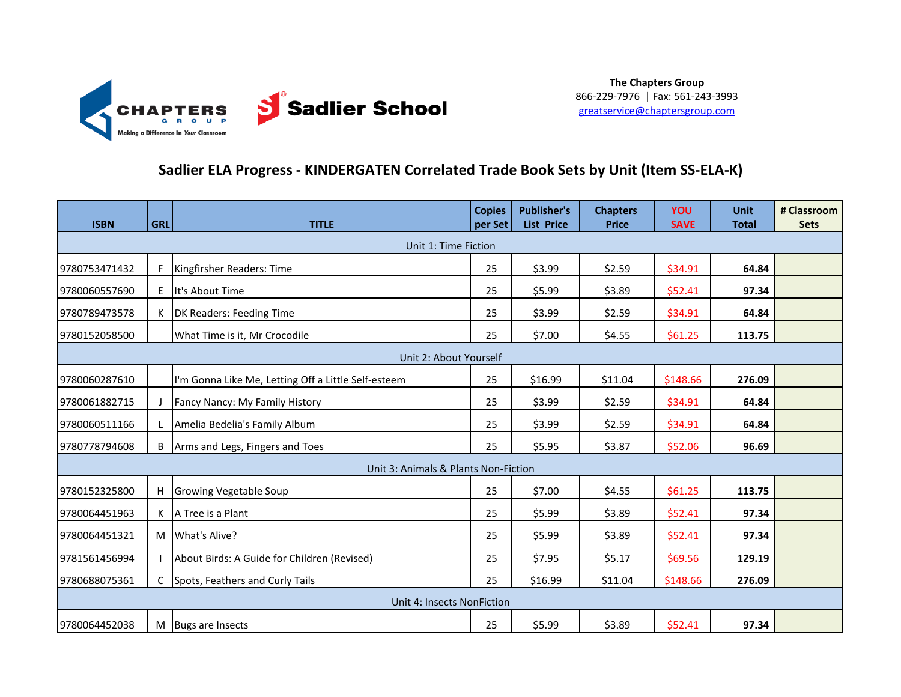

### **Sadlier ELA Progress - KINDERGATEN Correlated Trade Book Sets by Unit (Item SS-ELA-K)**

| <b>ISBN</b>   | <b>GRL</b>             | <b>TITLE</b>                                        | <b>Copies</b><br>per Set | <b>Publisher's</b><br><b>List Price</b> | <b>Chapters</b><br><b>Price</b> | YOU<br><b>SAVE</b> | <b>Unit</b><br><b>Total</b> | # Classroom<br><b>Sets</b> |  |
|---------------|------------------------|-----------------------------------------------------|--------------------------|-----------------------------------------|---------------------------------|--------------------|-----------------------------|----------------------------|--|
|               |                        | Unit 1: Time Fiction                                |                          |                                         |                                 |                    |                             |                            |  |
| 9780753471432 |                        | Kingfirsher Readers: Time                           | 25                       | \$3.99                                  | \$2.59                          | \$34.91            | 64.84                       |                            |  |
| 9780060557690 | E.                     | It's About Time                                     | 25                       | \$5.99                                  | \$3.89                          | \$52.41            | 97.34                       |                            |  |
| 9780789473578 |                        | DK Readers: Feeding Time                            | 25                       | \$3.99                                  | \$2.59                          | \$34.91            | 64.84                       |                            |  |
| 9780152058500 |                        | What Time is it, Mr Crocodile                       | 25                       | \$7.00                                  | \$4.55                          | \$61.25            | 113.75                      |                            |  |
|               | Unit 2: About Yourself |                                                     |                          |                                         |                                 |                    |                             |                            |  |
| 9780060287610 |                        | I'm Gonna Like Me, Letting Off a Little Self-esteem | 25                       | \$16.99                                 | \$11.04                         | \$148.66           | 276.09                      |                            |  |
| 9780061882715 |                        | Fancy Nancy: My Family History                      | 25                       | \$3.99                                  | \$2.59                          | \$34.91            | 64.84                       |                            |  |
| 9780060511166 |                        | Amelia Bedelia's Family Album                       | 25                       | \$3.99                                  | \$2.59                          | \$34.91            | 64.84                       |                            |  |
| 9780778794608 |                        | Arms and Legs, Fingers and Toes                     | 25                       | \$5.95                                  | \$3.87                          | \$52.06            | 96.69                       |                            |  |
|               |                        | Unit 3: Animals & Plants Non-Fiction                |                          |                                         |                                 |                    |                             |                            |  |
| 9780152325800 | H                      | <b>Growing Vegetable Soup</b>                       | 25                       | \$7.00                                  | \$4.55                          | \$61.25            | 113.75                      |                            |  |
| 9780064451963 |                        | A Tree is a Plant                                   | 25                       | \$5.99                                  | \$3.89                          | \$52.41            | 97.34                       |                            |  |
| 9780064451321 |                        | M What's Alive?                                     | 25                       | \$5.99                                  | \$3.89                          | \$52.41            | 97.34                       |                            |  |
| 9781561456994 |                        | About Birds: A Guide for Children (Revised)         | 25                       | \$7.95                                  | \$5.17                          | \$69.56            | 129.19                      |                            |  |
| 9780688075361 | C                      | Spots, Feathers and Curly Tails                     | 25                       | \$16.99                                 | \$11.04                         | \$148.66           | 276.09                      |                            |  |
|               |                        | Unit 4: Insects NonFiction                          |                          |                                         |                                 |                    |                             |                            |  |
| 9780064452038 |                        | M Bugs are Insects                                  | 25                       | \$5.99                                  | \$3.89                          | \$52.41            | 97.34                       |                            |  |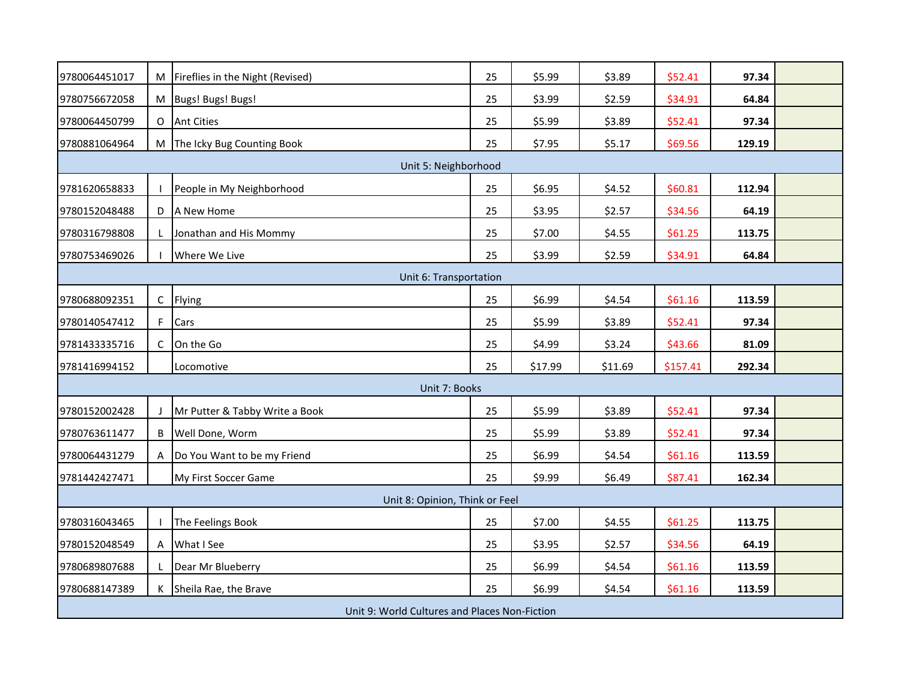| 9780064451017 |   | M Fireflies in the Night (Revised)            | 25 | \$5.99  | \$3.89  | \$52.41  | 97.34  |  |
|---------------|---|-----------------------------------------------|----|---------|---------|----------|--------|--|
|               |   |                                               |    |         |         |          |        |  |
| 9780756672058 |   | M Bugs! Bugs! Bugs!                           | 25 | \$3.99  | \$2.59  | \$34.91  | 64.84  |  |
| 9780064450799 |   | O Ant Cities                                  | 25 | \$5.99  | \$3.89  | \$52.41  | 97.34  |  |
| 9780881064964 |   | M The Icky Bug Counting Book                  | 25 | \$7.95  | \$5.17  | \$69.56  | 129.19 |  |
|               |   | Unit 5: Neighborhood                          |    |         |         |          |        |  |
| 9781620658833 |   | People in My Neighborhood                     | 25 | \$6.95  | \$4.52  | \$60.81  | 112.94 |  |
| 9780152048488 |   | D A New Home                                  | 25 | \$3.95  | \$2.57  | \$34.56  | 64.19  |  |
| 9780316798808 |   | Jonathan and His Mommy                        | 25 | \$7.00  | \$4.55  | \$61.25  | 113.75 |  |
| 9780753469026 |   | Where We Live                                 | 25 | \$3.99  | \$2.59  | \$34.91  | 64.84  |  |
|               |   | Unit 6: Transportation                        |    |         |         |          |        |  |
| 9780688092351 | C | Flying                                        | 25 | \$6.99  | \$4.54  | \$61.16  | 113.59 |  |
| 9780140547412 |   | F Cars                                        | 25 | \$5.99  | \$3.89  | \$52.41  | 97.34  |  |
| 9781433335716 | C | On the Go                                     | 25 | \$4.99  | \$3.24  | \$43.66  | 81.09  |  |
| 9781416994152 |   | Locomotive                                    | 25 | \$17.99 | \$11.69 | \$157.41 | 292.34 |  |
|               |   | Unit 7: Books                                 |    |         |         |          |        |  |
| 9780152002428 |   | Mr Putter & Tabby Write a Book                | 25 | \$5.99  | \$3.89  | \$52.41  | 97.34  |  |
| 9780763611477 |   | <b>B</b> Well Done, Worm                      | 25 | \$5.99  | \$3.89  | \$52.41  | 97.34  |  |
| 9780064431279 |   | A  Do You Want to be my Friend                | 25 | \$6.99  | \$4.54  | \$61.16  | 113.59 |  |
| 9781442427471 |   | My First Soccer Game                          | 25 | \$9.99  | \$6.49  | \$87.41  | 162.34 |  |
|               |   | Unit 8: Opinion, Think or Feel                |    |         |         |          |        |  |
| 9780316043465 |   | The Feelings Book                             | 25 | \$7.00  | \$4.55  | \$61.25  | 113.75 |  |
| 9780152048549 |   | A What I See                                  | 25 | \$3.95  | \$2.57  | \$34.56  | 64.19  |  |
| 9780689807688 |   | Dear Mr Blueberry                             | 25 | \$6.99  | \$4.54  | \$61.16  | 113.59 |  |
| 9780688147389 |   | K Sheila Rae, the Brave                       | 25 | \$6.99  | \$4.54  | \$61.16  | 113.59 |  |
|               |   | Unit 9: World Cultures and Places Non-Fiction |    |         |         |          |        |  |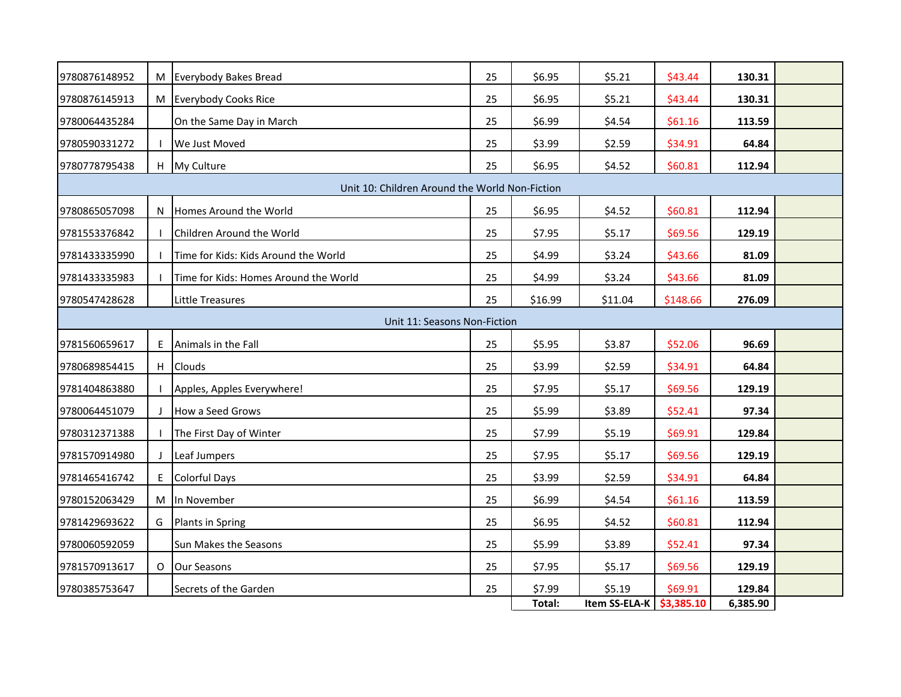| 9780876148952 |   | M Everybody Bakes Bread                        | 25 | \$6.95  | \$5.21        | \$43.44    | 130.31   |  |
|---------------|---|------------------------------------------------|----|---------|---------------|------------|----------|--|
| 9780876145913 |   | M Everybody Cooks Rice                         | 25 | \$6.95  | \$5.21        | \$43.44    | 130.31   |  |
| 9780064435284 |   | On the Same Day in March                       | 25 | \$6.99  | \$4.54        | \$61.16    | 113.59   |  |
| 9780590331272 |   | We Just Moved                                  | 25 | \$3.99  | \$2.59        | \$34.91    | 64.84    |  |
| 9780778795438 |   | H My Culture                                   | 25 | \$6.95  | \$4.52        | \$60.81    | 112.94   |  |
|               |   | Unit 10: Children Around the World Non-Fiction |    |         |               |            |          |  |
| 9780865057098 |   | N Homes Around the World                       | 25 | \$6.95  | \$4.52        | \$60.81    | 112.94   |  |
| 9781553376842 |   | Children Around the World                      | 25 | \$7.95  | \$5.17        | \$69.56    | 129.19   |  |
| 9781433335990 |   | Time for Kids: Kids Around the World           | 25 | \$4.99  | \$3.24        | \$43.66    | 81.09    |  |
| 9781433335983 |   | Time for Kids: Homes Around the World          | 25 | \$4.99  | \$3.24        | \$43.66    | 81.09    |  |
| 9780547428628 |   | <b>Little Treasures</b>                        | 25 | \$16.99 | \$11.04       | \$148.66   | 276.09   |  |
|               |   | Unit 11: Seasons Non-Fiction                   |    |         |               |            |          |  |
| 9781560659617 |   | E Animals in the Fall                          | 25 | \$5.95  | \$3.87        | \$52.06    | 96.69    |  |
| 9780689854415 |   | H Clouds                                       | 25 | \$3.99  | \$2.59        | \$34.91    | 64.84    |  |
| 9781404863880 |   | Apples, Apples Everywhere!                     | 25 | \$7.95  | \$5.17        | \$69.56    | 129.19   |  |
| 9780064451079 |   | How a Seed Grows                               | 25 | \$5.99  | \$3.89        | \$52.41    | 97.34    |  |
| 9780312371388 |   | The First Day of Winter                        | 25 | \$7.99  | \$5.19        | \$69.91    | 129.84   |  |
| 9781570914980 |   | Leaf Jumpers                                   | 25 | \$7.95  | \$5.17        | \$69.56    | 129.19   |  |
| 9781465416742 | E | <b>Colorful Days</b>                           | 25 | \$3.99  | \$2.59        | \$34.91    | 64.84    |  |
| 9780152063429 |   | M In November                                  | 25 | \$6.99  | \$4.54        | \$61.16    | 113.59   |  |
| 9781429693622 | G | Plants in Spring                               | 25 | \$6.95  | \$4.52        | \$60.81    | 112.94   |  |
| 9780060592059 |   | Sun Makes the Seasons                          | 25 | \$5.99  | \$3.89        | \$52.41    | 97.34    |  |
| 9781570913617 |   | O Our Seasons                                  | 25 | \$7.95  | \$5.17        | \$69.56    | 129.19   |  |
| 9780385753647 |   | Secrets of the Garden                          | 25 | \$7.99  | \$5.19        | \$69.91    | 129.84   |  |
|               |   |                                                |    | Total:  | Item SS-ELA-K | \$3,385.10 | 6,385.90 |  |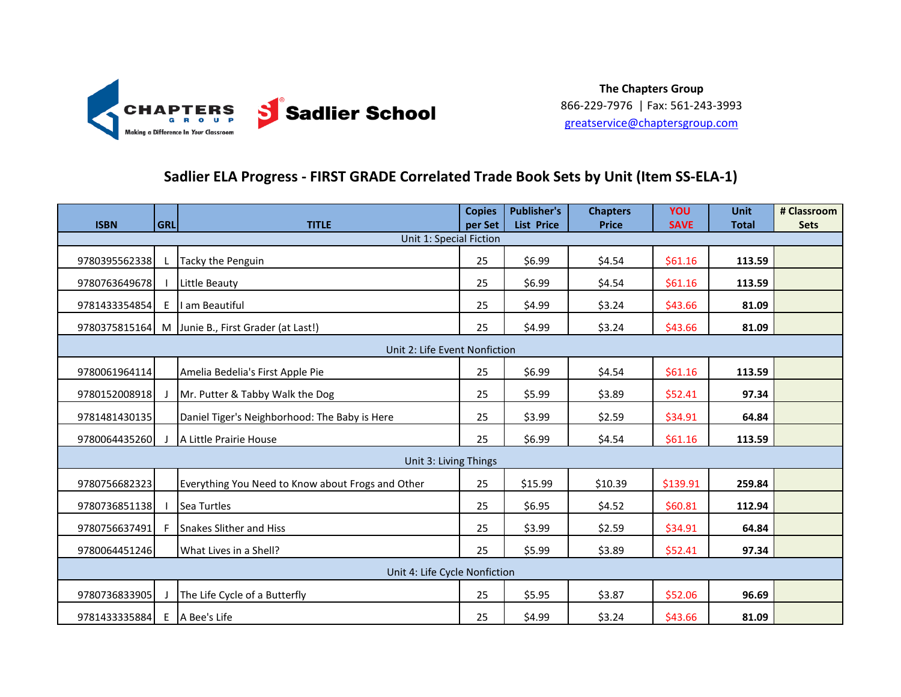

### **Sadlier ELA Progress - FIRST GRADE Correlated Trade Book Sets by Unit (Item SS-ELA-1)**

| <b>ISBN</b>   | <b>GRL</b> | <b>TITLE</b>                                      | <b>Copies</b><br>per Set | <b>Publisher's</b><br><b>List Price</b> | <b>Chapters</b><br><b>Price</b> | YOU<br><b>SAVE</b> | <b>Unit</b><br><b>Total</b> | # Classroom<br><b>Sets</b> |
|---------------|------------|---------------------------------------------------|--------------------------|-----------------------------------------|---------------------------------|--------------------|-----------------------------|----------------------------|
|               |            | Unit 1: Special Fiction                           |                          |                                         |                                 |                    |                             |                            |
| 9780395562338 |            | Tacky the Penguin                                 | 25                       | \$6.99                                  | \$4.54                          | \$61.16            | 113.59                      |                            |
| 9780763649678 |            | Little Beauty                                     | 25                       | \$6.99                                  | \$4.54                          | \$61.16            | 113.59                      |                            |
| 9781433354854 | E          | I am Beautiful                                    | 25                       | \$4.99                                  | \$3.24                          | \$43.66            | 81.09                       |                            |
| 9780375815164 |            | M Junie B., First Grader (at Last!)               | 25                       | \$4.99                                  | \$3.24                          | \$43.66            | 81.09                       |                            |
|               |            | Unit 2: Life Event Nonfiction                     |                          |                                         |                                 |                    |                             |                            |
| 9780061964114 |            | Amelia Bedelia's First Apple Pie                  | 25                       | \$6.99                                  | \$4.54                          | \$61.16            | 113.59                      |                            |
| 9780152008918 |            | Mr. Putter & Tabby Walk the Dog                   | 25                       | \$5.99                                  | \$3.89                          | \$52.41            | 97.34                       |                            |
| 9781481430135 |            | Daniel Tiger's Neighborhood: The Baby is Here     | 25                       | \$3.99                                  | \$2.59                          | \$34.91            | 64.84                       |                            |
| 9780064435260 |            | A Little Prairie House                            | 25                       | \$6.99                                  | \$4.54                          | \$61.16            | 113.59                      |                            |
|               |            | Unit 3: Living Things                             |                          |                                         |                                 |                    |                             |                            |
| 9780756682323 |            | Everything You Need to Know about Frogs and Other | 25                       | \$15.99                                 | \$10.39                         | \$139.91           | 259.84                      |                            |
| 9780736851138 |            | Sea Turtles                                       | 25                       | \$6.95                                  | \$4.52                          | \$60.81            | 112.94                      |                            |
| 9780756637491 | F          | <b>Snakes Slither and Hiss</b>                    | 25                       | \$3.99                                  | \$2.59                          | \$34.91            | 64.84                       |                            |
| 9780064451246 |            | What Lives in a Shell?                            | 25                       | \$5.99                                  | \$3.89                          | \$52.41            | 97.34                       |                            |
|               |            | Unit 4: Life Cycle Nonfiction                     |                          |                                         |                                 |                    |                             |                            |
| 9780736833905 |            | The Life Cycle of a Butterfly                     | 25                       | \$5.95                                  | \$3.87                          | \$52.06            | 96.69                       |                            |
| 9781433335884 |            | E A Bee's Life                                    | 25                       | \$4.99                                  | \$3.24                          | \$43.66            | 81.09                       |                            |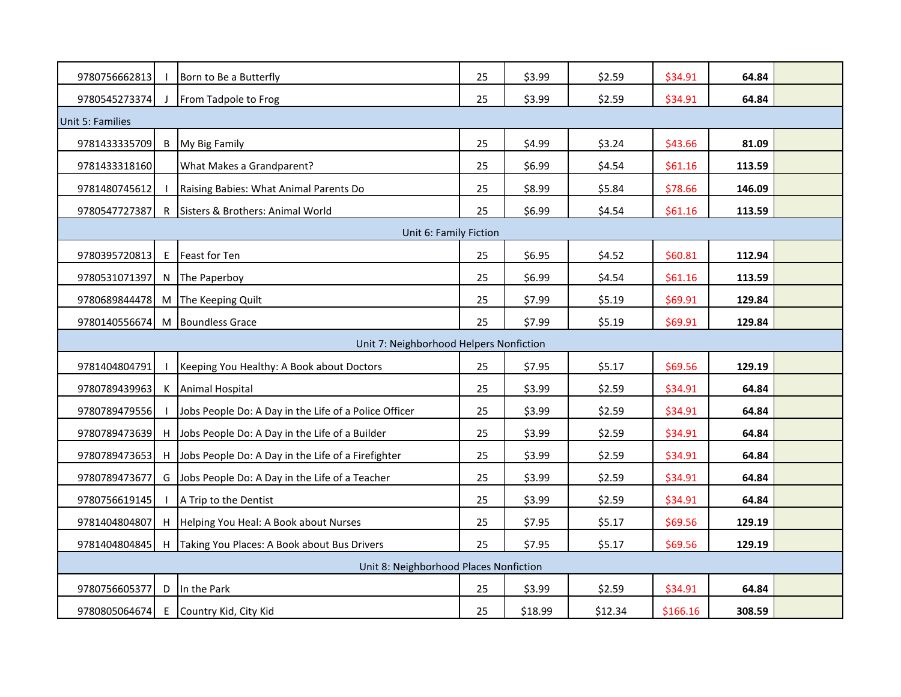| 9780756662813    |                                         | Born to Be a Butterfly                                | 25 | \$3.99  | \$2.59  | \$34.91  | 64.84  |  |  |  |  |
|------------------|-----------------------------------------|-------------------------------------------------------|----|---------|---------|----------|--------|--|--|--|--|
| 9780545273374    |                                         | From Tadpole to Frog                                  | 25 | \$3.99  | \$2.59  | \$34.91  | 64.84  |  |  |  |  |
| Unit 5: Families |                                         |                                                       |    |         |         |          |        |  |  |  |  |
| 9781433335709    |                                         | <b>B</b> My Big Family                                | 25 | \$4.99  | \$3.24  | \$43.66  | 81.09  |  |  |  |  |
| 9781433318160    |                                         | What Makes a Grandparent?                             | 25 | \$6.99  | \$4.54  | \$61.16  | 113.59 |  |  |  |  |
| 9781480745612    |                                         | Raising Babies: What Animal Parents Do                | 25 | \$8.99  | \$5.84  | \$78.66  | 146.09 |  |  |  |  |
| 9780547727387    |                                         | R Sisters & Brothers: Animal World                    | 25 | \$6.99  | \$4.54  | \$61.16  | 113.59 |  |  |  |  |
|                  |                                         | Unit 6: Family Fiction                                |    |         |         |          |        |  |  |  |  |
| 9780395720813    | E                                       | Feast for Ten                                         | 25 | \$6.95  | \$4.52  | \$60.81  | 112.94 |  |  |  |  |
| 9780531071397    | N                                       | The Paperboy                                          | 25 | \$6.99  | \$4.54  | \$61.16  | 113.59 |  |  |  |  |
| 9780689844478    | M                                       | The Keeping Quilt                                     | 25 | \$7.99  | \$5.19  | \$69.91  | 129.84 |  |  |  |  |
| 9780140556674    |                                         | M Boundless Grace                                     | 25 | \$7.99  | \$5.19  | \$69.91  | 129.84 |  |  |  |  |
|                  | Unit 7: Neighborhood Helpers Nonfiction |                                                       |    |         |         |          |        |  |  |  |  |
| 9781404804791    |                                         | Keeping You Healthy: A Book about Doctors             | 25 | \$7.95  | \$5.17  | \$69.56  | 129.19 |  |  |  |  |
| 9780789439963    |                                         | K Animal Hospital                                     | 25 | \$3.99  | \$2.59  | \$34.91  | 64.84  |  |  |  |  |
| 9780789479556    |                                         | Jobs People Do: A Day in the Life of a Police Officer | 25 | \$3.99  | \$2.59  | \$34.91  | 64.84  |  |  |  |  |
| 9780789473639    |                                         | H Jobs People Do: A Day in the Life of a Builder      | 25 | \$3.99  | \$2.59  | \$34.91  | 64.84  |  |  |  |  |
| 9780789473653    |                                         | H Jobs People Do: A Day in the Life of a Firefighter  | 25 | \$3.99  | \$2.59  | \$34.91  | 64.84  |  |  |  |  |
| 9780789473677    |                                         | G Jobs People Do: A Day in the Life of a Teacher      | 25 | \$3.99  | \$2.59  | \$34.91  | 64.84  |  |  |  |  |
| 9780756619145    |                                         | A Trip to the Dentist                                 | 25 | \$3.99  | \$2.59  | \$34.91  | 64.84  |  |  |  |  |
| 9781404804807    |                                         | H Helping You Heal: A Book about Nurses               | 25 | \$7.95  | \$5.17  | \$69.56  | 129.19 |  |  |  |  |
| 9781404804845    |                                         | H Taking You Places: A Book about Bus Drivers         | 25 | \$7.95  | \$5.17  | \$69.56  | 129.19 |  |  |  |  |
|                  |                                         | Unit 8: Neighborhood Places Nonfiction                |    |         |         |          |        |  |  |  |  |
| 9780756605377    |                                         | D In the Park                                         | 25 | \$3.99  | \$2.59  | \$34.91  | 64.84  |  |  |  |  |
| 9780805064674    |                                         | E Country Kid, City Kid                               | 25 | \$18.99 | \$12.34 | \$166.16 | 308.59 |  |  |  |  |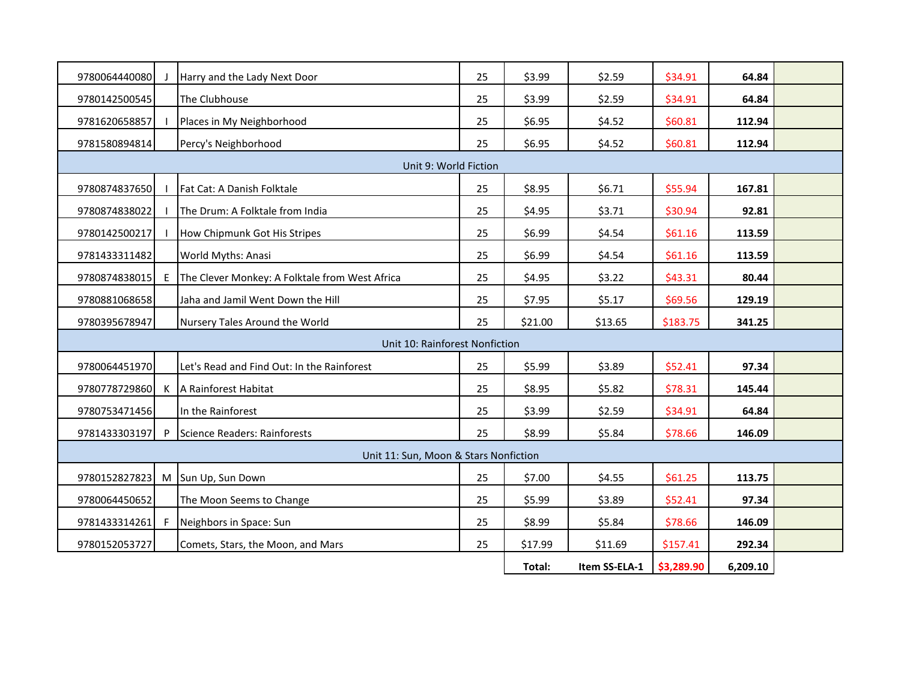| 9780064440080 |              | Harry and the Lady Next Door                   | 25 | \$3.99  | \$2.59        | \$34.91    | 64.84    |  |
|---------------|--------------|------------------------------------------------|----|---------|---------------|------------|----------|--|
| 9780142500545 |              | The Clubhouse                                  | 25 | \$3.99  | \$2.59        | \$34.91    | 64.84    |  |
| 9781620658857 |              | Places in My Neighborhood                      | 25 | \$6.95  | \$4.52        | \$60.81    | 112.94   |  |
| 9781580894814 |              | Percy's Neighborhood                           | 25 | \$6.95  | \$4.52        | \$60.81    | 112.94   |  |
|               |              | Unit 9: World Fiction                          |    |         |               |            |          |  |
| 9780874837650 |              | Fat Cat: A Danish Folktale                     | 25 | \$8.95  | \$6.71        | \$55.94    | 167.81   |  |
| 9780874838022 |              | The Drum: A Folktale from India                | 25 | \$4.95  | \$3.71        | \$30.94    | 92.81    |  |
| 9780142500217 |              | How Chipmunk Got His Stripes                   | 25 | \$6.99  | \$4.54        | \$61.16    | 113.59   |  |
| 9781433311482 |              | World Myths: Anasi                             | 25 | \$6.99  | \$4.54        | \$61.16    | 113.59   |  |
| 9780874838015 | E            | The Clever Monkey: A Folktale from West Africa | 25 | \$4.95  | \$3.22        | \$43.31    | 80.44    |  |
| 9780881068658 |              | Jaha and Jamil Went Down the Hill              | 25 | \$7.95  | \$5.17        | \$69.56    | 129.19   |  |
| 9780395678947 |              | Nursery Tales Around the World                 | 25 | \$21.00 | \$13.65       | \$183.75   | 341.25   |  |
|               |              | Unit 10: Rainforest Nonfiction                 |    |         |               |            |          |  |
| 9780064451970 |              | Let's Read and Find Out: In the Rainforest     | 25 | \$5.99  | \$3.89        | \$52.41    | 97.34    |  |
| 9780778729860 | K            | A Rainforest Habitat                           | 25 | \$8.95  | \$5.82        | \$78.31    | 145.44   |  |
| 9780753471456 |              | In the Rainforest                              | 25 | \$3.99  | \$2.59        | \$34.91    | 64.84    |  |
| 9781433303197 | $\mathsf{P}$ | Science Readers: Rainforests                   | 25 | \$8.99  | \$5.84        | \$78.66    | 146.09   |  |
|               |              | Unit 11: Sun, Moon & Stars Nonfiction          |    |         |               |            |          |  |
|               |              | 9780152827823 M Sun Up, Sun Down               | 25 | \$7.00  | \$4.55        | \$61.25    | 113.75   |  |
| 9780064450652 |              | The Moon Seems to Change                       | 25 | \$5.99  | \$3.89        | \$52.41    | 97.34    |  |
| 9781433314261 | -F           | Neighbors in Space: Sun                        | 25 | \$8.99  | \$5.84        | \$78.66    | 146.09   |  |
| 9780152053727 |              | Comets, Stars, the Moon, and Mars              | 25 | \$17.99 | \$11.69       | \$157.41   | 292.34   |  |
|               |              |                                                |    | Total:  | Item SS-ELA-1 | \$3,289.90 | 6,209.10 |  |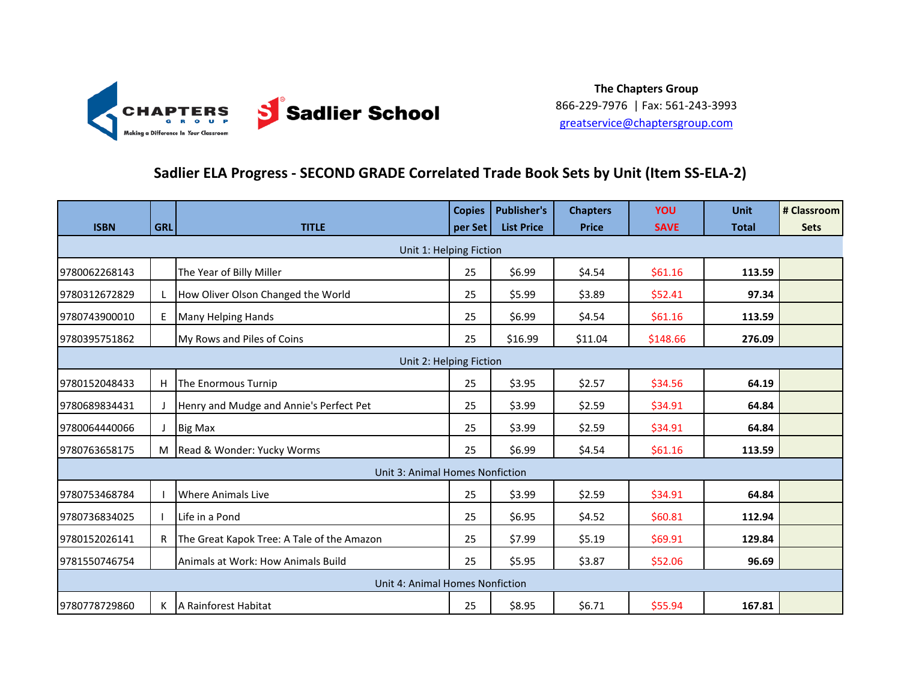

### **Sadlier ELA Progress - SECOND GRADE Correlated Trade Book Sets by Unit (Item SS-ELA-2)**

|                         |              |                                            | <b>Copies</b> | <b>Publisher's</b> | <b>Chapters</b> | <b>YOU</b>  | <b>Unit</b>  | # Classroom |  |
|-------------------------|--------------|--------------------------------------------|---------------|--------------------|-----------------|-------------|--------------|-------------|--|
| <b>ISBN</b>             | <b>GRL</b>   | <b>TITLE</b>                               | per Set       | <b>List Price</b>  | <b>Price</b>    | <b>SAVE</b> | <b>Total</b> | <b>Sets</b> |  |
|                         |              | Unit 1: Helping Fiction                    |               |                    |                 |             |              |             |  |
| 9780062268143           |              | The Year of Billy Miller                   | 25            | \$6.99             | \$4.54          | \$61.16     | 113.59       |             |  |
| 9780312672829           | L            | How Oliver Olson Changed the World         | 25            | \$5.99             | \$3.89          | \$52.41     | 97.34        |             |  |
| 9780743900010           | E            | Many Helping Hands                         | 25            | \$6.99             | \$4.54          | \$61.16     | 113.59       |             |  |
| 9780395751862           |              | My Rows and Piles of Coins                 | 25            | \$16.99            | \$11.04         | \$148.66    | 276.09       |             |  |
| Unit 2: Helping Fiction |              |                                            |               |                    |                 |             |              |             |  |
| 9780152048433           | H            | The Enormous Turnip                        | 25            | \$3.95             | \$2.57          | \$34.56     | 64.19        |             |  |
| 9780689834431           |              | Henry and Mudge and Annie's Perfect Pet    | 25            | \$3.99             | \$2.59          | \$34.91     | 64.84        |             |  |
| 9780064440066           |              | <b>Big Max</b>                             | 25            | \$3.99             | \$2.59          | \$34.91     | 64.84        |             |  |
| 9780763658175           |              | M Read & Wonder: Yucky Worms               | 25            | \$6.99             | \$4.54          | \$61.16     | 113.59       |             |  |
|                         |              | Unit 3: Animal Homes Nonfiction            |               |                    |                 |             |              |             |  |
| 9780753468784           |              | Where Animals Live                         | 25            | \$3.99             | \$2.59          | \$34.91     | 64.84        |             |  |
| 9780736834025           |              | Life in a Pond                             | 25            | \$6.95             | \$4.52          | \$60.81     | 112.94       |             |  |
| 9780152026141           | $\mathsf{R}$ | The Great Kapok Tree: A Tale of the Amazon | 25            | \$7.99             | \$5.19          | \$69.91     | 129.84       |             |  |
| 9781550746754           |              | Animals at Work: How Animals Build         | 25            | \$5.95             | \$3.87          | \$52.06     | 96.69        |             |  |
|                         |              | Unit 4: Animal Homes Nonfiction            |               |                    |                 |             |              |             |  |
| 9780778729860           | K            | A Rainforest Habitat                       | 25            | \$8.95             | \$6.71          | \$55.94     | 167.81       |             |  |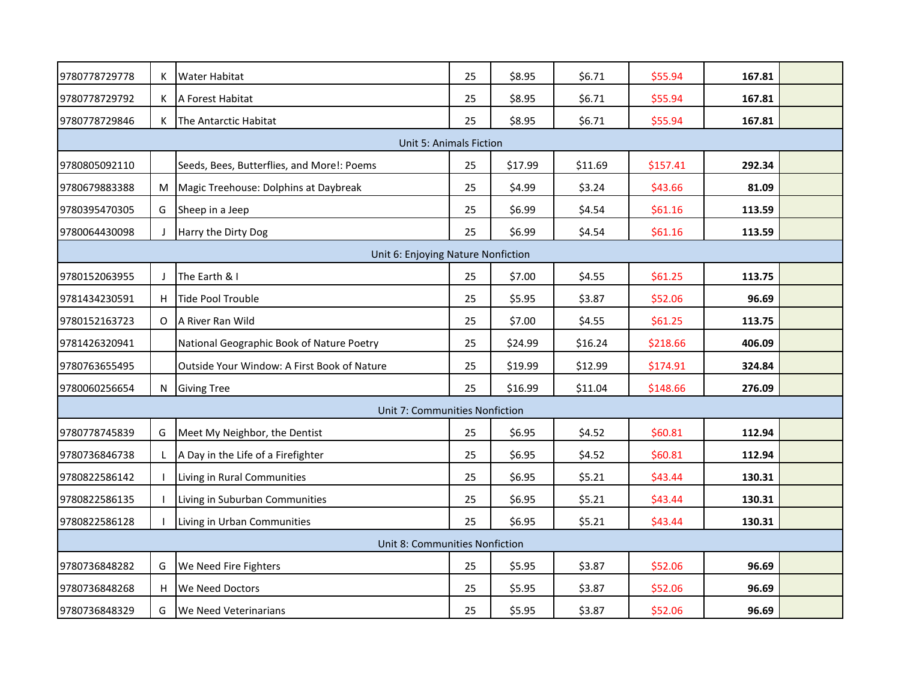| 9780778729778 | Κ       | <b>Water Habitat</b>                        | 25 | \$8.95  | \$6.71  | \$55.94  | 167.81 |  |
|---------------|---------|---------------------------------------------|----|---------|---------|----------|--------|--|
| 9780778729792 | K       | A Forest Habitat                            | 25 | \$8.95  | \$6.71  | \$55.94  | 167.81 |  |
| 9780778729846 | K       | The Antarctic Habitat                       | 25 | \$8.95  | \$6.71  | \$55.94  | 167.81 |  |
|               |         | <b>Unit 5: Animals Fiction</b>              |    |         |         |          |        |  |
| 9780805092110 |         | Seeds, Bees, Butterflies, and More!: Poems  | 25 | \$17.99 | \$11.69 | \$157.41 | 292.34 |  |
| 9780679883388 | M       | Magic Treehouse: Dolphins at Daybreak       | 25 | \$4.99  | \$3.24  | \$43.66  | 81.09  |  |
| 9780395470305 | G       | Sheep in a Jeep                             | 25 | \$6.99  | \$4.54  | \$61.16  | 113.59 |  |
| 9780064430098 |         | Harry the Dirty Dog                         | 25 | \$6.99  | \$4.54  | \$61.16  | 113.59 |  |
|               |         | Unit 6: Enjoying Nature Nonfiction          |    |         |         |          |        |  |
| 9780152063955 | $\perp$ | The Earth & I                               | 25 | \$7.00  | \$4.55  | \$61.25  | 113.75 |  |
| 9781434230591 | H       | Tide Pool Trouble                           | 25 | \$5.95  | \$3.87  | \$52.06  | 96.69  |  |
| 9780152163723 | O       | A River Ran Wild                            | 25 | \$7.00  | \$4.55  | \$61.25  | 113.75 |  |
| 9781426320941 |         | National Geographic Book of Nature Poetry   | 25 | \$24.99 | \$16.24 | \$218.66 | 406.09 |  |
| 9780763655495 |         | Outside Your Window: A First Book of Nature | 25 | \$19.99 | \$12.99 | \$174.91 | 324.84 |  |
| 9780060256654 | N       | <b>Giving Tree</b>                          | 25 | \$16.99 | \$11.04 | \$148.66 | 276.09 |  |
|               |         | Unit 7: Communities Nonfiction              |    |         |         |          |        |  |
| 9780778745839 | G       | Meet My Neighbor, the Dentist               | 25 | \$6.95  | \$4.52  | \$60.81  | 112.94 |  |
| 9780736846738 | L       | A Day in the Life of a Firefighter          | 25 | \$6.95  | \$4.52  | \$60.81  | 112.94 |  |
| 9780822586142 |         | Living in Rural Communities                 | 25 | \$6.95  | \$5.21  | \$43.44  | 130.31 |  |
| 9780822586135 |         | Living in Suburban Communities              | 25 | \$6.95  | \$5.21  | \$43.44  | 130.31 |  |
| 9780822586128 |         | Living in Urban Communities                 | 25 | \$6.95  | \$5.21  | \$43.44  | 130.31 |  |
|               |         | Unit 8: Communities Nonfiction              |    |         |         |          |        |  |
| 9780736848282 | G       | We Need Fire Fighters                       | 25 | \$5.95  | \$3.87  | \$52.06  | 96.69  |  |
| 9780736848268 | H       | We Need Doctors                             | 25 | \$5.95  | \$3.87  | \$52.06  | 96.69  |  |
| 9780736848329 | G       | We Need Veterinarians                       | 25 | \$5.95  | \$3.87  | \$52.06  | 96.69  |  |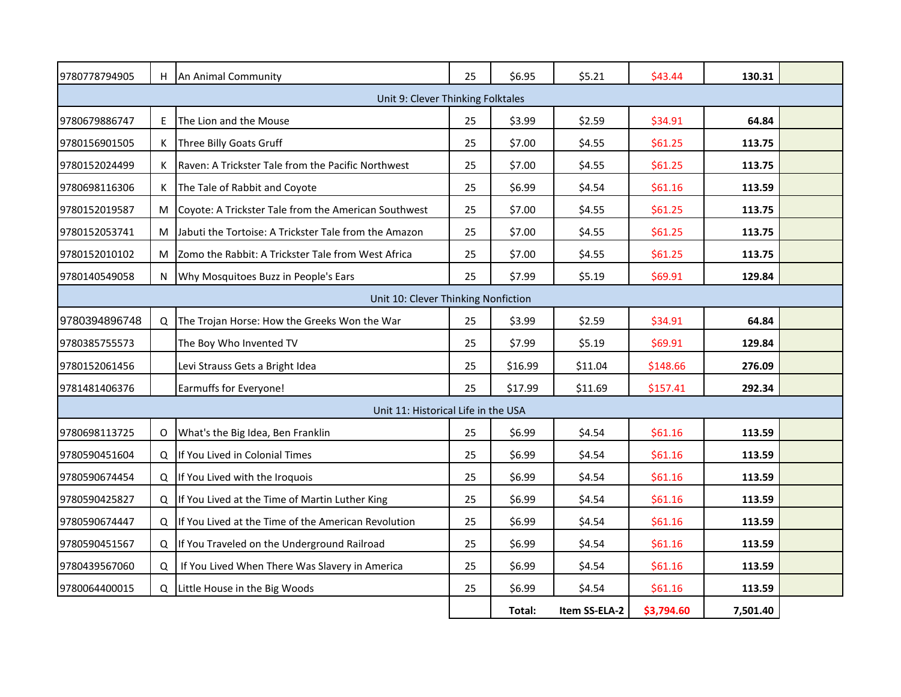| 9780778794905                                                                                                                                                                                                                                                                                                                                                                                                                                                                                                                                                                                                                                                                                                                                                                                                                                                                                                                                                                                                                                                                                                                                                                                                                                                                                                                                                                                                                                                                                                                                                                                                                                                                                                                                                                                                                                                                                                                                                                                                                                                                                                                                                                                    | H. |                                                | 25 | \$6.95 | \$5.21        | \$43.44    | 130.31   |  |  |  |
|--------------------------------------------------------------------------------------------------------------------------------------------------------------------------------------------------------------------------------------------------------------------------------------------------------------------------------------------------------------------------------------------------------------------------------------------------------------------------------------------------------------------------------------------------------------------------------------------------------------------------------------------------------------------------------------------------------------------------------------------------------------------------------------------------------------------------------------------------------------------------------------------------------------------------------------------------------------------------------------------------------------------------------------------------------------------------------------------------------------------------------------------------------------------------------------------------------------------------------------------------------------------------------------------------------------------------------------------------------------------------------------------------------------------------------------------------------------------------------------------------------------------------------------------------------------------------------------------------------------------------------------------------------------------------------------------------------------------------------------------------------------------------------------------------------------------------------------------------------------------------------------------------------------------------------------------------------------------------------------------------------------------------------------------------------------------------------------------------------------------------------------------------------------------------------------------------|----|------------------------------------------------|----|--------|---------------|------------|----------|--|--|--|
| An Animal Community<br>Unit 9: Clever Thinking Folktales<br>E<br>The Lion and the Mouse<br>25<br>\$3.99<br>9780679886747<br>\$2.59<br>\$34.91<br>64.84<br>K<br>Three Billy Goats Gruff<br>25<br>\$7.00<br>\$4.55<br>113.75<br>9780156901505<br>\$61.25<br>Raven: A Trickster Tale from the Pacific Northwest<br>25<br>9780152024499<br>K<br>\$7.00<br>\$4.55<br>\$61.25<br>113.75<br>25<br>9780698116306<br>K<br>The Tale of Rabbit and Coyote<br>\$6.99<br>\$4.54<br>\$61.16<br>113.59<br>Coyote: A Trickster Tale from the American Southwest<br>25<br>\$7.00<br>\$4.55<br>\$61.25<br>9780152019587<br>М<br>113.75<br>Jabuti the Tortoise: A Trickster Tale from the Amazon<br>25<br>\$7.00<br>\$4.55<br>\$61.25<br>113.75<br>9780152053741<br>М<br>25<br>Zomo the Rabbit: A Trickster Tale from West Africa<br>\$7.00<br>\$4.55<br>\$61.25<br>113.75<br>9780152010102<br>M<br>25<br>Why Mosquitoes Buzz in People's Ears<br>\$7.99<br>\$5.19<br>\$69.91<br>129.84<br>9780140549058<br>N<br>Unit 10: Clever Thinking Nonfiction<br>25<br>9780394896748<br>Q<br>\$2.59<br>\$34.91<br>64.84<br>The Trojan Horse: How the Greeks Won the War<br>\$3.99<br>25<br>\$7.99<br>\$5.19<br>\$69.91<br>9780385755573<br>The Boy Who Invented TV<br>129.84<br>25<br>\$16.99<br>Levi Strauss Gets a Bright Idea<br>\$11.04<br>\$148.66<br>276.09<br>9780152061456<br>Earmuffs for Everyone!<br>25<br>\$17.99<br>\$11.69<br>\$157.41<br>292.34<br>9781481406376<br>Unit 11: Historical Life in the USA<br>25<br>9780698113725<br>What's the Big Idea, Ben Franklin<br>\$6.99<br>\$4.54<br>\$61.16<br>113.59<br>0<br>25<br>\$6.99<br>9780590451604<br>Q<br>If You Lived in Colonial Times<br>\$4.54<br>\$61.16<br>113.59<br>25<br>\$6.99<br>If You Lived with the Iroquois<br>\$4.54<br>\$61.16<br>113.59<br>9780590674454<br>Q<br>If You Lived at the Time of Martin Luther King<br>25<br>\$6.99<br>\$61.16<br>9780590425827<br>Q<br>\$4.54<br>113.59<br>If You Lived at the Time of the American Revolution<br>25<br>\$61.16<br>9780590674447<br>$\Omega$<br>\$6.99<br>\$4.54<br>113.59<br>If You Traveled on the Underground Railroad<br>25<br>\$6.99<br>\$4.54<br>\$61.16<br>113.59<br>9780590451567<br>Q |    |                                                |    |        |               |            |          |  |  |  |
|                                                                                                                                                                                                                                                                                                                                                                                                                                                                                                                                                                                                                                                                                                                                                                                                                                                                                                                                                                                                                                                                                                                                                                                                                                                                                                                                                                                                                                                                                                                                                                                                                                                                                                                                                                                                                                                                                                                                                                                                                                                                                                                                                                                                  |    |                                                |    |        |               |            |          |  |  |  |
|                                                                                                                                                                                                                                                                                                                                                                                                                                                                                                                                                                                                                                                                                                                                                                                                                                                                                                                                                                                                                                                                                                                                                                                                                                                                                                                                                                                                                                                                                                                                                                                                                                                                                                                                                                                                                                                                                                                                                                                                                                                                                                                                                                                                  |    |                                                |    |        |               |            |          |  |  |  |
|                                                                                                                                                                                                                                                                                                                                                                                                                                                                                                                                                                                                                                                                                                                                                                                                                                                                                                                                                                                                                                                                                                                                                                                                                                                                                                                                                                                                                                                                                                                                                                                                                                                                                                                                                                                                                                                                                                                                                                                                                                                                                                                                                                                                  |    |                                                |    |        |               |            |          |  |  |  |
|                                                                                                                                                                                                                                                                                                                                                                                                                                                                                                                                                                                                                                                                                                                                                                                                                                                                                                                                                                                                                                                                                                                                                                                                                                                                                                                                                                                                                                                                                                                                                                                                                                                                                                                                                                                                                                                                                                                                                                                                                                                                                                                                                                                                  |    |                                                |    |        |               |            |          |  |  |  |
|                                                                                                                                                                                                                                                                                                                                                                                                                                                                                                                                                                                                                                                                                                                                                                                                                                                                                                                                                                                                                                                                                                                                                                                                                                                                                                                                                                                                                                                                                                                                                                                                                                                                                                                                                                                                                                                                                                                                                                                                                                                                                                                                                                                                  |    |                                                |    |        |               |            |          |  |  |  |
|                                                                                                                                                                                                                                                                                                                                                                                                                                                                                                                                                                                                                                                                                                                                                                                                                                                                                                                                                                                                                                                                                                                                                                                                                                                                                                                                                                                                                                                                                                                                                                                                                                                                                                                                                                                                                                                                                                                                                                                                                                                                                                                                                                                                  |    |                                                |    |        |               |            |          |  |  |  |
|                                                                                                                                                                                                                                                                                                                                                                                                                                                                                                                                                                                                                                                                                                                                                                                                                                                                                                                                                                                                                                                                                                                                                                                                                                                                                                                                                                                                                                                                                                                                                                                                                                                                                                                                                                                                                                                                                                                                                                                                                                                                                                                                                                                                  |    |                                                |    |        |               |            |          |  |  |  |
|                                                                                                                                                                                                                                                                                                                                                                                                                                                                                                                                                                                                                                                                                                                                                                                                                                                                                                                                                                                                                                                                                                                                                                                                                                                                                                                                                                                                                                                                                                                                                                                                                                                                                                                                                                                                                                                                                                                                                                                                                                                                                                                                                                                                  |    |                                                |    |        |               |            |          |  |  |  |
|                                                                                                                                                                                                                                                                                                                                                                                                                                                                                                                                                                                                                                                                                                                                                                                                                                                                                                                                                                                                                                                                                                                                                                                                                                                                                                                                                                                                                                                                                                                                                                                                                                                                                                                                                                                                                                                                                                                                                                                                                                                                                                                                                                                                  |    |                                                |    |        |               |            |          |  |  |  |
|                                                                                                                                                                                                                                                                                                                                                                                                                                                                                                                                                                                                                                                                                                                                                                                                                                                                                                                                                                                                                                                                                                                                                                                                                                                                                                                                                                                                                                                                                                                                                                                                                                                                                                                                                                                                                                                                                                                                                                                                                                                                                                                                                                                                  |    |                                                |    |        |               |            |          |  |  |  |
|                                                                                                                                                                                                                                                                                                                                                                                                                                                                                                                                                                                                                                                                                                                                                                                                                                                                                                                                                                                                                                                                                                                                                                                                                                                                                                                                                                                                                                                                                                                                                                                                                                                                                                                                                                                                                                                                                                                                                                                                                                                                                                                                                                                                  |    |                                                |    |        |               |            |          |  |  |  |
|                                                                                                                                                                                                                                                                                                                                                                                                                                                                                                                                                                                                                                                                                                                                                                                                                                                                                                                                                                                                                                                                                                                                                                                                                                                                                                                                                                                                                                                                                                                                                                                                                                                                                                                                                                                                                                                                                                                                                                                                                                                                                                                                                                                                  |    |                                                |    |        |               |            |          |  |  |  |
|                                                                                                                                                                                                                                                                                                                                                                                                                                                                                                                                                                                                                                                                                                                                                                                                                                                                                                                                                                                                                                                                                                                                                                                                                                                                                                                                                                                                                                                                                                                                                                                                                                                                                                                                                                                                                                                                                                                                                                                                                                                                                                                                                                                                  |    |                                                |    |        |               |            |          |  |  |  |
|                                                                                                                                                                                                                                                                                                                                                                                                                                                                                                                                                                                                                                                                                                                                                                                                                                                                                                                                                                                                                                                                                                                                                                                                                                                                                                                                                                                                                                                                                                                                                                                                                                                                                                                                                                                                                                                                                                                                                                                                                                                                                                                                                                                                  |    |                                                |    |        |               |            |          |  |  |  |
|                                                                                                                                                                                                                                                                                                                                                                                                                                                                                                                                                                                                                                                                                                                                                                                                                                                                                                                                                                                                                                                                                                                                                                                                                                                                                                                                                                                                                                                                                                                                                                                                                                                                                                                                                                                                                                                                                                                                                                                                                                                                                                                                                                                                  |    |                                                |    |        |               |            |          |  |  |  |
|                                                                                                                                                                                                                                                                                                                                                                                                                                                                                                                                                                                                                                                                                                                                                                                                                                                                                                                                                                                                                                                                                                                                                                                                                                                                                                                                                                                                                                                                                                                                                                                                                                                                                                                                                                                                                                                                                                                                                                                                                                                                                                                                                                                                  |    |                                                |    |        |               |            |          |  |  |  |
|                                                                                                                                                                                                                                                                                                                                                                                                                                                                                                                                                                                                                                                                                                                                                                                                                                                                                                                                                                                                                                                                                                                                                                                                                                                                                                                                                                                                                                                                                                                                                                                                                                                                                                                                                                                                                                                                                                                                                                                                                                                                                                                                                                                                  |    |                                                |    |        |               |            |          |  |  |  |
|                                                                                                                                                                                                                                                                                                                                                                                                                                                                                                                                                                                                                                                                                                                                                                                                                                                                                                                                                                                                                                                                                                                                                                                                                                                                                                                                                                                                                                                                                                                                                                                                                                                                                                                                                                                                                                                                                                                                                                                                                                                                                                                                                                                                  |    |                                                |    |        |               |            |          |  |  |  |
|                                                                                                                                                                                                                                                                                                                                                                                                                                                                                                                                                                                                                                                                                                                                                                                                                                                                                                                                                                                                                                                                                                                                                                                                                                                                                                                                                                                                                                                                                                                                                                                                                                                                                                                                                                                                                                                                                                                                                                                                                                                                                                                                                                                                  |    |                                                |    |        |               |            |          |  |  |  |
|                                                                                                                                                                                                                                                                                                                                                                                                                                                                                                                                                                                                                                                                                                                                                                                                                                                                                                                                                                                                                                                                                                                                                                                                                                                                                                                                                                                                                                                                                                                                                                                                                                                                                                                                                                                                                                                                                                                                                                                                                                                                                                                                                                                                  |    |                                                |    |        |               |            |          |  |  |  |
| 9780439567060                                                                                                                                                                                                                                                                                                                                                                                                                                                                                                                                                                                                                                                                                                                                                                                                                                                                                                                                                                                                                                                                                                                                                                                                                                                                                                                                                                                                                                                                                                                                                                                                                                                                                                                                                                                                                                                                                                                                                                                                                                                                                                                                                                                    | Q  | If You Lived When There Was Slavery in America | 25 | \$6.99 | \$4.54        | \$61.16    | 113.59   |  |  |  |
| 9780064400015                                                                                                                                                                                                                                                                                                                                                                                                                                                                                                                                                                                                                                                                                                                                                                                                                                                                                                                                                                                                                                                                                                                                                                                                                                                                                                                                                                                                                                                                                                                                                                                                                                                                                                                                                                                                                                                                                                                                                                                                                                                                                                                                                                                    | Q  | Little House in the Big Woods                  | 25 | \$6.99 | \$4.54        | \$61.16    | 113.59   |  |  |  |
|                                                                                                                                                                                                                                                                                                                                                                                                                                                                                                                                                                                                                                                                                                                                                                                                                                                                                                                                                                                                                                                                                                                                                                                                                                                                                                                                                                                                                                                                                                                                                                                                                                                                                                                                                                                                                                                                                                                                                                                                                                                                                                                                                                                                  |    |                                                |    | Total: | Item SS-ELA-2 | \$3,794.60 | 7,501.40 |  |  |  |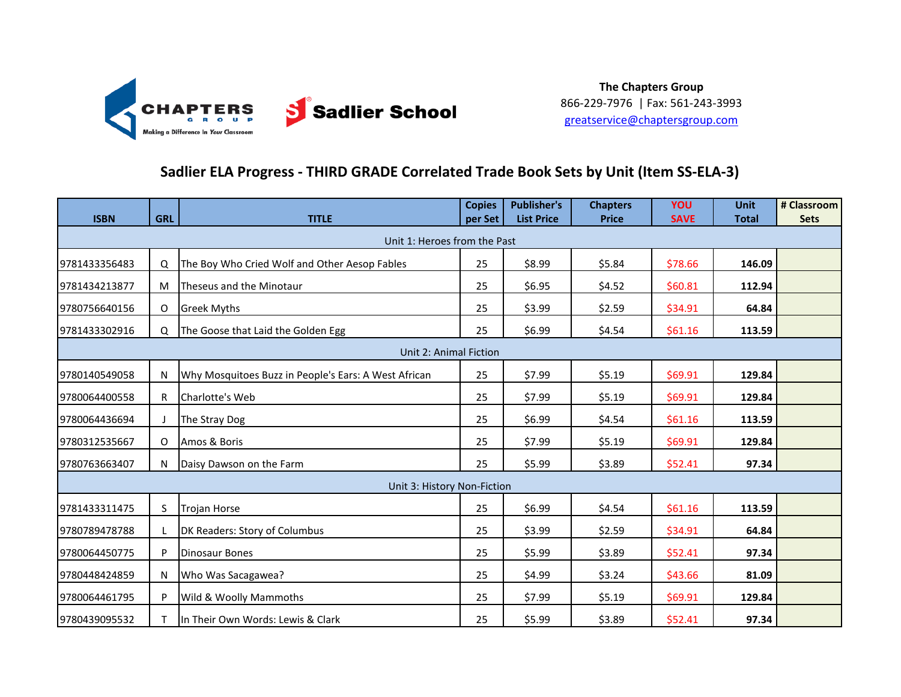

### **Sadlier ELA Progress - THIRD GRADE Correlated Trade Book Sets by Unit (Item SS-ELA-3)**

| <b>ISBN</b>   | <b>GRL</b> | <b>TITLE</b>                                         | <b>Copies</b><br>per Set | <b>Publisher's</b><br><b>List Price</b> | <b>Chapters</b><br><b>Price</b> | <b>YOU</b><br><b>SAVE</b> | <b>Unit</b><br><b>Total</b> | # Classroom<br><b>Sets</b> |
|---------------|------------|------------------------------------------------------|--------------------------|-----------------------------------------|---------------------------------|---------------------------|-----------------------------|----------------------------|
|               |            | Unit 1: Heroes from the Past                         |                          |                                         |                                 |                           |                             |                            |
| 9781433356483 | Q          | The Boy Who Cried Wolf and Other Aesop Fables        | 25                       | \$8.99                                  | \$5.84                          | \$78.66                   | 146.09                      |                            |
| 9781434213877 | M          | Theseus and the Minotaur                             | 25                       | \$6.95                                  | \$4.52                          | \$60.81                   | 112.94                      |                            |
| 9780756640156 | $\circ$    | <b>Greek Myths</b>                                   | 25                       | \$3.99                                  | \$2.59                          | \$34.91                   | 64.84                       |                            |
| 9781433302916 | $\Omega$   | The Goose that Laid the Golden Egg                   | 25                       | \$6.99                                  | \$4.54                          | \$61.16                   | 113.59                      |                            |
|               |            | Unit 2: Animal Fiction                               |                          |                                         |                                 |                           |                             |                            |
| 9780140549058 | N          | Why Mosquitoes Buzz in People's Ears: A West African | 25                       | \$7.99                                  | \$5.19                          | \$69.91                   | 129.84                      |                            |
| 9780064400558 | R          | Charlotte's Web                                      | 25                       | \$7.99                                  | \$5.19                          | \$69.91                   | 129.84                      |                            |
| 9780064436694 | $\perp$    | The Stray Dog                                        | 25                       | \$6.99                                  | \$4.54                          | \$61.16                   | 113.59                      |                            |
| 9780312535667 | O          | Amos & Boris                                         | 25                       | \$7.99                                  | \$5.19                          | \$69.91                   | 129.84                      |                            |
| 9780763663407 | N          | Daisy Dawson on the Farm                             | 25                       | \$5.99                                  | \$3.89                          | \$52.41                   | 97.34                       |                            |
|               |            | Unit 3: History Non-Fiction                          |                          |                                         |                                 |                           |                             |                            |
| 9781433311475 | S          | <b>Trojan Horse</b>                                  | 25                       | \$6.99                                  | \$4.54                          | \$61.16                   | 113.59                      |                            |
| 9780789478788 | L          | DK Readers: Story of Columbus                        | 25                       | \$3.99                                  | \$2.59                          | \$34.91                   | 64.84                       |                            |
| 9780064450775 | P          | <b>Dinosaur Bones</b>                                | 25                       | \$5.99                                  | \$3.89                          | \$52.41                   | 97.34                       |                            |
| 9780448424859 | N          | Who Was Sacagawea?                                   | 25                       | \$4.99                                  | \$3.24                          | \$43.66                   | 81.09                       |                            |
| 9780064461795 | P          | Wild & Woolly Mammoths                               | 25                       | \$7.99                                  | \$5.19                          | \$69.91                   | 129.84                      |                            |
| 9780439095532 | т          | In Their Own Words: Lewis & Clark                    | 25                       | \$5.99                                  | \$3.89                          | \$52.41                   | 97.34                       |                            |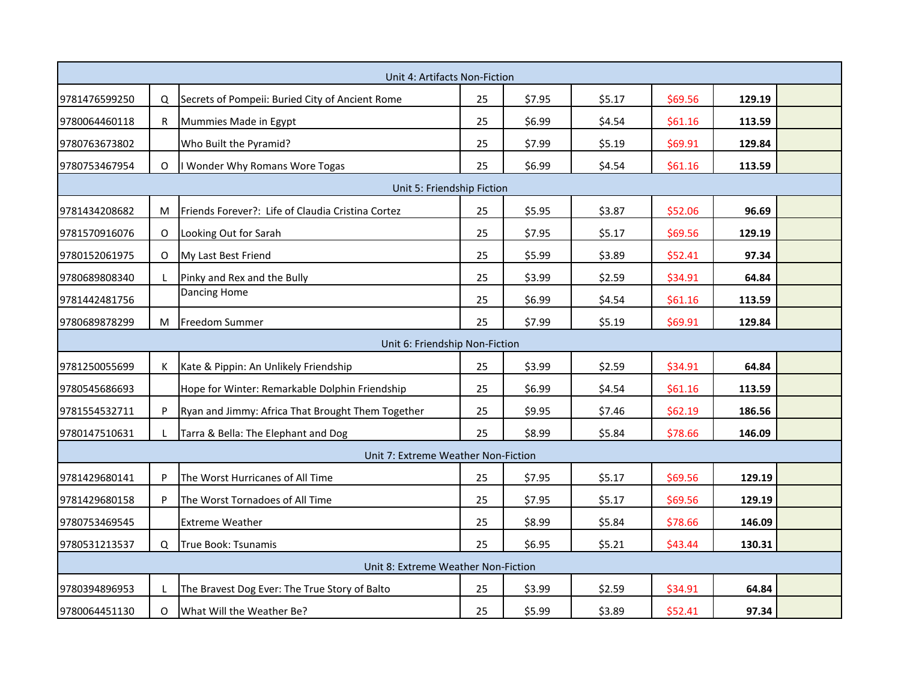|               |          | Unit 4: Artifacts Non-Fiction                     |    |        |        |         |        |  |
|---------------|----------|---------------------------------------------------|----|--------|--------|---------|--------|--|
| 9781476599250 | Q        | Secrets of Pompeii: Buried City of Ancient Rome   | 25 | \$7.95 | \$5.17 | \$69.56 | 129.19 |  |
| 9780064460118 | R.       | Mummies Made in Egypt                             | 25 | \$6.99 | \$4.54 | \$61.16 | 113.59 |  |
| 9780763673802 |          | Who Built the Pyramid?                            | 25 | \$7.99 | \$5.19 | \$69.91 | 129.84 |  |
| 9780753467954 | O        | Wonder Why Romans Wore Togas                      | 25 | \$6.99 | \$4.54 | \$61.16 | 113.59 |  |
|               |          | Unit 5: Friendship Fiction                        |    |        |        |         |        |  |
| 9781434208682 | M        | Friends Forever?: Life of Claudia Cristina Cortez | 25 | \$5.95 | \$3.87 | \$52.06 | 96.69  |  |
| 9781570916076 | $\circ$  | Looking Out for Sarah                             | 25 | \$7.95 | \$5.17 | \$69.56 | 129.19 |  |
| 9780152061975 | O        | My Last Best Friend                               | 25 | \$5.99 | \$3.89 | \$52.41 | 97.34  |  |
| 9780689808340 | L        | Pinky and Rex and the Bully                       | 25 | \$3.99 | \$2.59 | \$34.91 | 64.84  |  |
| 9781442481756 |          | <b>Dancing Home</b>                               | 25 | \$6.99 | \$4.54 | \$61.16 | 113.59 |  |
| 9780689878299 | M        | <b>Freedom Summer</b>                             | 25 | \$7.99 | \$5.19 | \$69.91 | 129.84 |  |
|               |          | Unit 6: Friendship Non-Fiction                    |    |        |        |         |        |  |
| 9781250055699 | К        | Kate & Pippin: An Unlikely Friendship             | 25 | \$3.99 | \$2.59 | \$34.91 | 64.84  |  |
| 9780545686693 |          | Hope for Winter: Remarkable Dolphin Friendship    | 25 | \$6.99 | \$4.54 | \$61.16 | 113.59 |  |
| 9781554532711 | P        | Ryan and Jimmy: Africa That Brought Them Together | 25 | \$9.95 | \$7.46 | \$62.19 | 186.56 |  |
| 9780147510631 | L        | Tarra & Bella: The Elephant and Dog               | 25 | \$8.99 | \$5.84 | \$78.66 | 146.09 |  |
|               |          | Unit 7: Extreme Weather Non-Fiction               |    |        |        |         |        |  |
| 9781429680141 | P        | The Worst Hurricanes of All Time                  | 25 | \$7.95 | \$5.17 | \$69.56 | 129.19 |  |
| 9781429680158 | P        | The Worst Tornadoes of All Time                   | 25 | \$7.95 | \$5.17 | \$69.56 | 129.19 |  |
| 9780753469545 |          | <b>Extreme Weather</b>                            | 25 | \$8.99 | \$5.84 | \$78.66 | 146.09 |  |
| 9780531213537 | $\Omega$ | True Book: Tsunamis                               | 25 | \$6.95 | \$5.21 | \$43.44 | 130.31 |  |
|               |          | Unit 8: Extreme Weather Non-Fiction               |    |        |        |         |        |  |
| 9780394896953 | L        | The Bravest Dog Ever: The True Story of Balto     | 25 | \$3.99 | \$2.59 | \$34.91 | 64.84  |  |
| 9780064451130 | O        | What Will the Weather Be?                         | 25 | \$5.99 | \$3.89 | \$52.41 | 97.34  |  |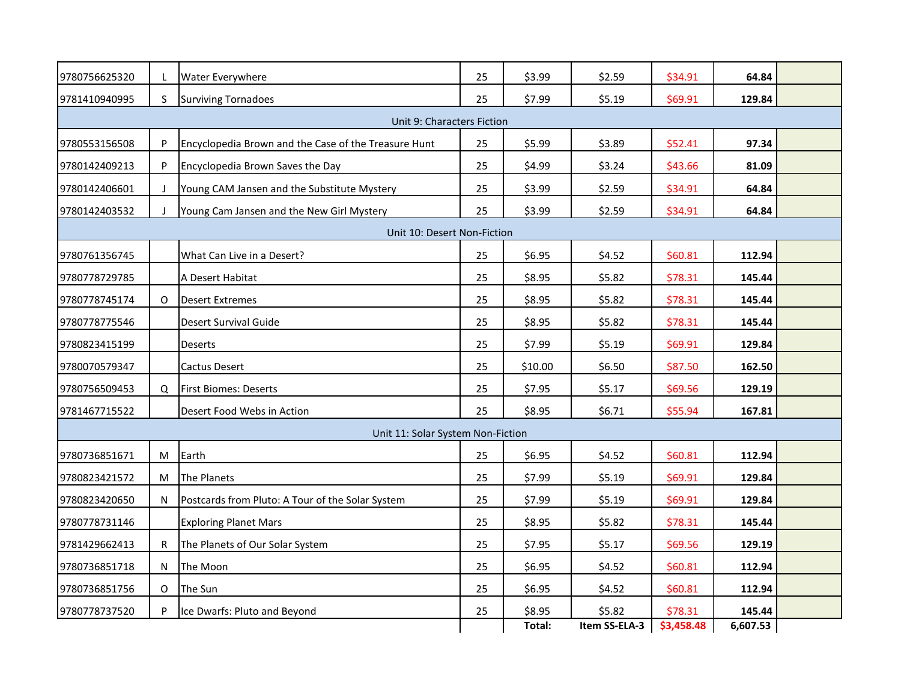| 9780756625320 | L            | Water Everywhere                                     | 25 | \$3.99  | \$2.59        | \$34.91    | 64.84    |  |
|---------------|--------------|------------------------------------------------------|----|---------|---------------|------------|----------|--|
| 9781410940995 | S.           | <b>Surviving Tornadoes</b>                           | 25 | \$7.99  | \$5.19        | \$69.91    | 129.84   |  |
|               |              | Unit 9: Characters Fiction                           |    |         |               |            |          |  |
| 9780553156508 | P            | Encyclopedia Brown and the Case of the Treasure Hunt | 25 | \$5.99  | \$3.89        | \$52.41    | 97.34    |  |
| 9780142409213 | P            | Encyclopedia Brown Saves the Day                     | 25 | \$4.99  | \$3.24        | \$43.66    | 81.09    |  |
| 9780142406601 | J            | Young CAM Jansen and the Substitute Mystery          | 25 | \$3.99  | \$2.59        | \$34.91    | 64.84    |  |
| 9780142403532 | $\mathbf{I}$ | Young Cam Jansen and the New Girl Mystery            | 25 | \$3.99  | \$2.59        | \$34.91    | 64.84    |  |
|               |              | Unit 10: Desert Non-Fiction                          |    |         |               |            |          |  |
| 9780761356745 |              | What Can Live in a Desert?                           | 25 | \$6.95  | \$4.52        | \$60.81    | 112.94   |  |
| 9780778729785 |              | A Desert Habitat                                     | 25 | \$8.95  | \$5.82        | \$78.31    | 145.44   |  |
| 9780778745174 | 0            | <b>Desert Extremes</b>                               | 25 | \$8.95  | \$5.82        | \$78.31    | 145.44   |  |
| 9780778775546 |              | Desert Survival Guide                                | 25 | \$8.95  | \$5.82        | \$78.31    | 145.44   |  |
| 9780823415199 |              | Deserts                                              | 25 | \$7.99  | \$5.19        | \$69.91    | 129.84   |  |
| 9780070579347 |              | Cactus Desert                                        | 25 | \$10.00 | \$6.50        | \$87.50    | 162.50   |  |
| 9780756509453 | $\Omega$     | <b>First Biomes: Deserts</b>                         | 25 | \$7.95  | \$5.17        | \$69.56    | 129.19   |  |
| 9781467715522 |              | Desert Food Webs in Action                           | 25 | \$8.95  | \$6.71        | \$55.94    | 167.81   |  |
|               |              | Unit 11: Solar System Non-Fiction                    |    |         |               |            |          |  |
| 9780736851671 | M            | Earth                                                | 25 | \$6.95  | \$4.52        | \$60.81    | 112.94   |  |
| 9780823421572 | M            | The Planets                                          | 25 | \$7.99  | \$5.19        | \$69.91    | 129.84   |  |
| 9780823420650 | N.           | Postcards from Pluto: A Tour of the Solar System     | 25 | \$7.99  | \$5.19        | \$69.91    | 129.84   |  |
| 9780778731146 |              | <b>Exploring Planet Mars</b>                         | 25 | \$8.95  | \$5.82        | \$78.31    | 145.44   |  |
| 9781429662413 | R            | The Planets of Our Solar System                      | 25 | \$7.95  | \$5.17        | \$69.56    | 129.19   |  |
| 9780736851718 | N            | The Moon                                             | 25 | \$6.95  | \$4.52        | \$60.81    | 112.94   |  |
| 9780736851756 | 0            | The Sun                                              | 25 | \$6.95  | \$4.52        | \$60.81    | 112.94   |  |
| 9780778737520 | P            | Ice Dwarfs: Pluto and Beyond                         | 25 | \$8.95  | \$5.82        | \$78.31    | 145.44   |  |
|               |              |                                                      |    | Total:  | Item SS-ELA-3 | \$3,458.48 | 6,607.53 |  |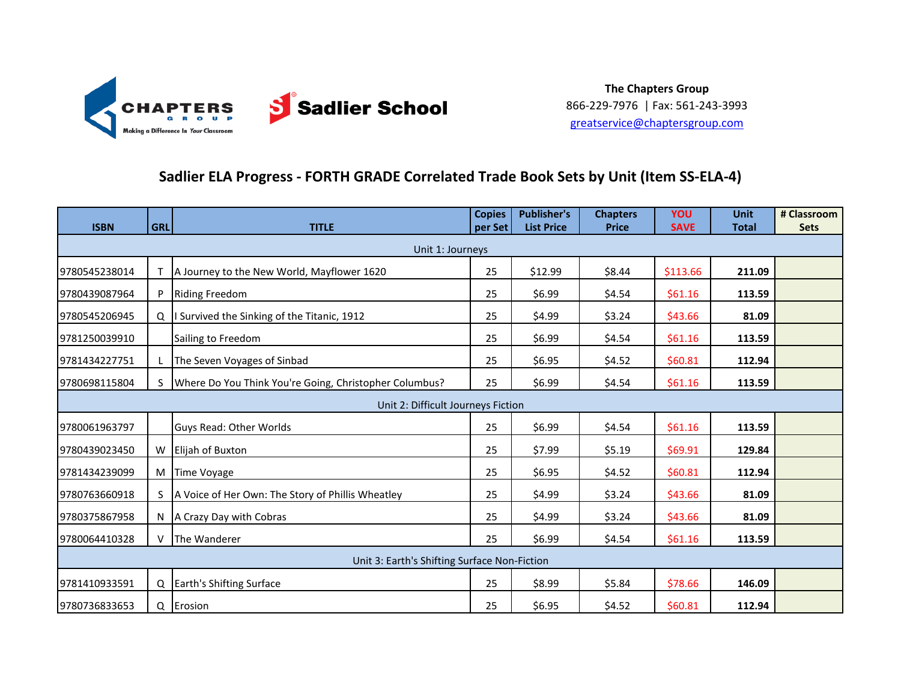

### **Sadlier ELA Progress - FORTH GRADE Correlated Trade Book Sets by Unit (Item SS-ELA-4)**

| <b>ISBN</b>                                  | <b>GRL</b> | <b>TITLE</b>                                           | <b>Copies</b><br>per Set | <b>Publisher's</b><br><b>List Price</b> | <b>Chapters</b><br><b>Price</b> | YOU<br><b>SAVE</b> | <b>Unit</b><br><b>Total</b> | # Classroom<br><b>Sets</b> |  |
|----------------------------------------------|------------|--------------------------------------------------------|--------------------------|-----------------------------------------|---------------------------------|--------------------|-----------------------------|----------------------------|--|
|                                              |            | Unit 1: Journeys                                       |                          |                                         |                                 |                    |                             |                            |  |
| 9780545238014                                |            | A Journey to the New World, Mayflower 1620             | 25                       | \$12.99                                 | \$8.44                          | \$113.66           | 211.09                      |                            |  |
| 9780439087964                                |            | <b>Riding Freedom</b>                                  | 25                       | \$6.99                                  | \$4.54                          | \$61.16            | 113.59                      |                            |  |
| 9780545206945                                |            | Q   Survived the Sinking of the Titanic, 1912          | 25                       | \$4.99                                  | \$3.24                          | \$43.66            | 81.09                       |                            |  |
| 9781250039910                                |            | Sailing to Freedom                                     | 25                       | \$6.99                                  | \$4.54                          | \$61.16            | 113.59                      |                            |  |
| 9781434227751                                |            | The Seven Voyages of Sinbad                            | 25                       | \$6.95                                  | \$4.52                          | \$60.81            | 112.94                      |                            |  |
| 9780698115804                                | S.         | Where Do You Think You're Going, Christopher Columbus? | 25                       | \$6.99                                  | \$4.54                          | \$61.16            | 113.59                      |                            |  |
|                                              |            | Unit 2: Difficult Journeys Fiction                     |                          |                                         |                                 |                    |                             |                            |  |
| 9780061963797                                |            | Guys Read: Other Worlds                                | 25                       | \$6.99                                  | \$4.54                          | \$61.16            | 113.59                      |                            |  |
| 9780439023450                                |            | W Elijah of Buxton                                     | 25                       | \$7.99                                  | \$5.19                          | \$69.91            | 129.84                      |                            |  |
| 9781434239099                                | M          | <b>Time Voyage</b>                                     | 25                       | \$6.95                                  | \$4.52                          | \$60.81            | 112.94                      |                            |  |
| 9780763660918                                |            | A Voice of Her Own: The Story of Phillis Wheatley      | 25                       | \$4.99                                  | \$3.24                          | \$43.66            | 81.09                       |                            |  |
| 9780375867958                                |            | N   A Crazy Day with Cobras                            | 25                       | \$4.99                                  | \$3.24                          | \$43.66            | 81.09                       |                            |  |
| 9780064410328                                |            | The Wanderer                                           | 25                       | \$6.99                                  | \$4.54                          | \$61.16            | 113.59                      |                            |  |
| Unit 3: Earth's Shifting Surface Non-Fiction |            |                                                        |                          |                                         |                                 |                    |                             |                            |  |
| 9781410933591                                |            | Q Earth's Shifting Surface                             | 25                       | \$8.99                                  | \$5.84                          | \$78.66            | 146.09                      |                            |  |
| 9780736833653                                |            | Q Erosion                                              | 25                       | \$6.95                                  | \$4.52                          | \$60.81            | 112.94                      |                            |  |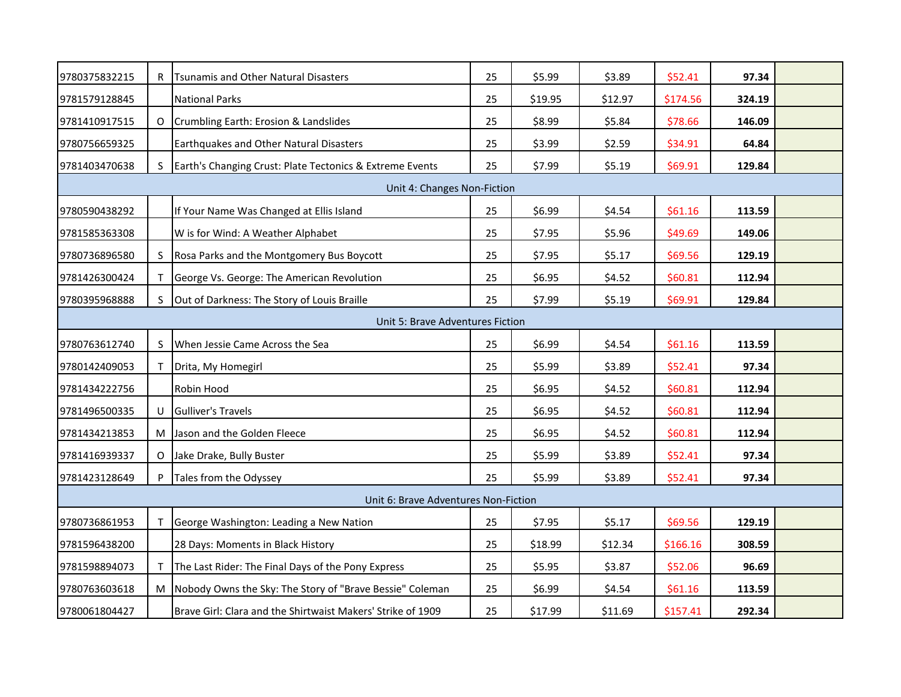| \$5.99<br>9780375832215<br>R Tsunamis and Other Natural Disasters<br>25<br>\$3.89<br>\$52.41<br>97.34<br><b>National Parks</b><br>25<br>9781579128845<br>\$19.95<br>\$12.97<br>\$174.56<br>324.19<br>O Crumbling Earth: Erosion & Landslides<br>25<br>\$8.99<br>\$5.84<br>\$78.66<br>146.09<br>9781410917515<br>25<br>\$34.91<br>9780756659325<br>Earthquakes and Other Natural Disasters<br>\$3.99<br>\$2.59<br>64.84<br>25<br>9781403470638<br>Earth's Changing Crust: Plate Tectonics & Extreme Events<br>\$7.99<br>\$5.19<br>\$69.91<br>129.84<br>S.<br>Unit 4: Changes Non-Fiction<br>25<br>\$6.99<br>9780590438292<br>If Your Name Was Changed at Ellis Island<br>\$4.54<br>\$61.16<br>113.59<br>25<br>\$7.95<br>\$5.96<br>\$49.69<br>9781585363308<br>W is for Wind: A Weather Alphabet<br>149.06<br>25<br>\$7.95<br>\$69.56<br>9780736896580<br>Rosa Parks and the Montgomery Bus Boycott<br>\$5.17<br>129.19<br>S.<br>George Vs. George: The American Revolution<br>25<br>\$6.95<br>\$4.52<br>\$60.81<br>9781426300424<br>112.94<br>25<br>\$7.99<br>\$5.19<br>\$69.91<br>129.84<br>9780395968888<br>Out of Darkness: The Story of Louis Braille<br>S.<br>Unit 5: Brave Adventures Fiction<br>When Jessie Came Across the Sea<br>25<br>\$6.99<br>\$4.54<br>\$61.16<br>113.59<br>9780763612740<br>S<br>25<br>\$5.99<br>\$3.89<br>\$52.41<br>97.34<br>9780142409053<br>Drita, My Homegirl<br>25<br>\$6.95<br>\$4.52<br>\$60.81<br>9781434222756<br>Robin Hood<br>112.94<br>\$6.95<br>\$4.52<br><b>Gulliver's Travels</b><br>25<br>\$60.81<br>112.94<br>9781496500335<br>U<br>25<br>\$6.95<br>\$4.52<br>\$60.81<br>112.94<br>9781434213853<br>M Jason and the Golden Fleece<br>25<br>\$5.99<br>\$3.89<br>\$52.41<br>97.34<br>9781416939337<br>O Jake Drake, Bully Buster<br>\$5.99<br>25<br>\$3.89<br>\$52.41<br>97.34<br>9781423128649<br>Tales from the Odyssey<br>Unit 6: Brave Adventures Non-Fiction<br>\$7.95<br>\$5.17<br>\$69.56<br>9780736861953<br>George Washington: Leading a New Nation<br>25<br>129.19<br>9781596438200<br>28 Days: Moments in Black History<br>25<br>\$18.99<br>\$12.34<br>\$166.16<br>308.59<br>The Last Rider: The Final Days of the Pony Express<br>25<br>\$5.95<br>\$3.87<br>\$52.06<br>96.69<br>9781598894073<br>M Nobody Owns the Sky: The Story of "Brave Bessie" Coleman<br>\$6.99<br>9780763603618<br>25<br>\$4.54<br>\$61.16<br>113.59 |               |  |                                                             |    |         |         |          |        |  |  |
|--------------------------------------------------------------------------------------------------------------------------------------------------------------------------------------------------------------------------------------------------------------------------------------------------------------------------------------------------------------------------------------------------------------------------------------------------------------------------------------------------------------------------------------------------------------------------------------------------------------------------------------------------------------------------------------------------------------------------------------------------------------------------------------------------------------------------------------------------------------------------------------------------------------------------------------------------------------------------------------------------------------------------------------------------------------------------------------------------------------------------------------------------------------------------------------------------------------------------------------------------------------------------------------------------------------------------------------------------------------------------------------------------------------------------------------------------------------------------------------------------------------------------------------------------------------------------------------------------------------------------------------------------------------------------------------------------------------------------------------------------------------------------------------------------------------------------------------------------------------------------------------------------------------------------------------------------------------------------------------------------------------------------------------------------------------------------------------------------------------------------------------------------------------------------------------------------------------------------------------------------------------------------------------------------------------------------------------------------------------------------------------|---------------|--|-------------------------------------------------------------|----|---------|---------|----------|--------|--|--|
|                                                                                                                                                                                                                                                                                                                                                                                                                                                                                                                                                                                                                                                                                                                                                                                                                                                                                                                                                                                                                                                                                                                                                                                                                                                                                                                                                                                                                                                                                                                                                                                                                                                                                                                                                                                                                                                                                                                                                                                                                                                                                                                                                                                                                                                                                                                                                                                      |               |  |                                                             |    |         |         |          |        |  |  |
|                                                                                                                                                                                                                                                                                                                                                                                                                                                                                                                                                                                                                                                                                                                                                                                                                                                                                                                                                                                                                                                                                                                                                                                                                                                                                                                                                                                                                                                                                                                                                                                                                                                                                                                                                                                                                                                                                                                                                                                                                                                                                                                                                                                                                                                                                                                                                                                      |               |  |                                                             |    |         |         |          |        |  |  |
|                                                                                                                                                                                                                                                                                                                                                                                                                                                                                                                                                                                                                                                                                                                                                                                                                                                                                                                                                                                                                                                                                                                                                                                                                                                                                                                                                                                                                                                                                                                                                                                                                                                                                                                                                                                                                                                                                                                                                                                                                                                                                                                                                                                                                                                                                                                                                                                      |               |  |                                                             |    |         |         |          |        |  |  |
|                                                                                                                                                                                                                                                                                                                                                                                                                                                                                                                                                                                                                                                                                                                                                                                                                                                                                                                                                                                                                                                                                                                                                                                                                                                                                                                                                                                                                                                                                                                                                                                                                                                                                                                                                                                                                                                                                                                                                                                                                                                                                                                                                                                                                                                                                                                                                                                      |               |  |                                                             |    |         |         |          |        |  |  |
|                                                                                                                                                                                                                                                                                                                                                                                                                                                                                                                                                                                                                                                                                                                                                                                                                                                                                                                                                                                                                                                                                                                                                                                                                                                                                                                                                                                                                                                                                                                                                                                                                                                                                                                                                                                                                                                                                                                                                                                                                                                                                                                                                                                                                                                                                                                                                                                      |               |  |                                                             |    |         |         |          |        |  |  |
|                                                                                                                                                                                                                                                                                                                                                                                                                                                                                                                                                                                                                                                                                                                                                                                                                                                                                                                                                                                                                                                                                                                                                                                                                                                                                                                                                                                                                                                                                                                                                                                                                                                                                                                                                                                                                                                                                                                                                                                                                                                                                                                                                                                                                                                                                                                                                                                      |               |  |                                                             |    |         |         |          |        |  |  |
|                                                                                                                                                                                                                                                                                                                                                                                                                                                                                                                                                                                                                                                                                                                                                                                                                                                                                                                                                                                                                                                                                                                                                                                                                                                                                                                                                                                                                                                                                                                                                                                                                                                                                                                                                                                                                                                                                                                                                                                                                                                                                                                                                                                                                                                                                                                                                                                      |               |  |                                                             |    |         |         |          |        |  |  |
|                                                                                                                                                                                                                                                                                                                                                                                                                                                                                                                                                                                                                                                                                                                                                                                                                                                                                                                                                                                                                                                                                                                                                                                                                                                                                                                                                                                                                                                                                                                                                                                                                                                                                                                                                                                                                                                                                                                                                                                                                                                                                                                                                                                                                                                                                                                                                                                      |               |  |                                                             |    |         |         |          |        |  |  |
|                                                                                                                                                                                                                                                                                                                                                                                                                                                                                                                                                                                                                                                                                                                                                                                                                                                                                                                                                                                                                                                                                                                                                                                                                                                                                                                                                                                                                                                                                                                                                                                                                                                                                                                                                                                                                                                                                                                                                                                                                                                                                                                                                                                                                                                                                                                                                                                      |               |  |                                                             |    |         |         |          |        |  |  |
|                                                                                                                                                                                                                                                                                                                                                                                                                                                                                                                                                                                                                                                                                                                                                                                                                                                                                                                                                                                                                                                                                                                                                                                                                                                                                                                                                                                                                                                                                                                                                                                                                                                                                                                                                                                                                                                                                                                                                                                                                                                                                                                                                                                                                                                                                                                                                                                      |               |  |                                                             |    |         |         |          |        |  |  |
|                                                                                                                                                                                                                                                                                                                                                                                                                                                                                                                                                                                                                                                                                                                                                                                                                                                                                                                                                                                                                                                                                                                                                                                                                                                                                                                                                                                                                                                                                                                                                                                                                                                                                                                                                                                                                                                                                                                                                                                                                                                                                                                                                                                                                                                                                                                                                                                      |               |  |                                                             |    |         |         |          |        |  |  |
|                                                                                                                                                                                                                                                                                                                                                                                                                                                                                                                                                                                                                                                                                                                                                                                                                                                                                                                                                                                                                                                                                                                                                                                                                                                                                                                                                                                                                                                                                                                                                                                                                                                                                                                                                                                                                                                                                                                                                                                                                                                                                                                                                                                                                                                                                                                                                                                      |               |  |                                                             |    |         |         |          |        |  |  |
|                                                                                                                                                                                                                                                                                                                                                                                                                                                                                                                                                                                                                                                                                                                                                                                                                                                                                                                                                                                                                                                                                                                                                                                                                                                                                                                                                                                                                                                                                                                                                                                                                                                                                                                                                                                                                                                                                                                                                                                                                                                                                                                                                                                                                                                                                                                                                                                      |               |  |                                                             |    |         |         |          |        |  |  |
|                                                                                                                                                                                                                                                                                                                                                                                                                                                                                                                                                                                                                                                                                                                                                                                                                                                                                                                                                                                                                                                                                                                                                                                                                                                                                                                                                                                                                                                                                                                                                                                                                                                                                                                                                                                                                                                                                                                                                                                                                                                                                                                                                                                                                                                                                                                                                                                      |               |  |                                                             |    |         |         |          |        |  |  |
|                                                                                                                                                                                                                                                                                                                                                                                                                                                                                                                                                                                                                                                                                                                                                                                                                                                                                                                                                                                                                                                                                                                                                                                                                                                                                                                                                                                                                                                                                                                                                                                                                                                                                                                                                                                                                                                                                                                                                                                                                                                                                                                                                                                                                                                                                                                                                                                      |               |  |                                                             |    |         |         |          |        |  |  |
|                                                                                                                                                                                                                                                                                                                                                                                                                                                                                                                                                                                                                                                                                                                                                                                                                                                                                                                                                                                                                                                                                                                                                                                                                                                                                                                                                                                                                                                                                                                                                                                                                                                                                                                                                                                                                                                                                                                                                                                                                                                                                                                                                                                                                                                                                                                                                                                      |               |  |                                                             |    |         |         |          |        |  |  |
|                                                                                                                                                                                                                                                                                                                                                                                                                                                                                                                                                                                                                                                                                                                                                                                                                                                                                                                                                                                                                                                                                                                                                                                                                                                                                                                                                                                                                                                                                                                                                                                                                                                                                                                                                                                                                                                                                                                                                                                                                                                                                                                                                                                                                                                                                                                                                                                      |               |  |                                                             |    |         |         |          |        |  |  |
|                                                                                                                                                                                                                                                                                                                                                                                                                                                                                                                                                                                                                                                                                                                                                                                                                                                                                                                                                                                                                                                                                                                                                                                                                                                                                                                                                                                                                                                                                                                                                                                                                                                                                                                                                                                                                                                                                                                                                                                                                                                                                                                                                                                                                                                                                                                                                                                      |               |  |                                                             |    |         |         |          |        |  |  |
|                                                                                                                                                                                                                                                                                                                                                                                                                                                                                                                                                                                                                                                                                                                                                                                                                                                                                                                                                                                                                                                                                                                                                                                                                                                                                                                                                                                                                                                                                                                                                                                                                                                                                                                                                                                                                                                                                                                                                                                                                                                                                                                                                                                                                                                                                                                                                                                      |               |  |                                                             |    |         |         |          |        |  |  |
|                                                                                                                                                                                                                                                                                                                                                                                                                                                                                                                                                                                                                                                                                                                                                                                                                                                                                                                                                                                                                                                                                                                                                                                                                                                                                                                                                                                                                                                                                                                                                                                                                                                                                                                                                                                                                                                                                                                                                                                                                                                                                                                                                                                                                                                                                                                                                                                      |               |  |                                                             |    |         |         |          |        |  |  |
|                                                                                                                                                                                                                                                                                                                                                                                                                                                                                                                                                                                                                                                                                                                                                                                                                                                                                                                                                                                                                                                                                                                                                                                                                                                                                                                                                                                                                                                                                                                                                                                                                                                                                                                                                                                                                                                                                                                                                                                                                                                                                                                                                                                                                                                                                                                                                                                      |               |  |                                                             |    |         |         |          |        |  |  |
|                                                                                                                                                                                                                                                                                                                                                                                                                                                                                                                                                                                                                                                                                                                                                                                                                                                                                                                                                                                                                                                                                                                                                                                                                                                                                                                                                                                                                                                                                                                                                                                                                                                                                                                                                                                                                                                                                                                                                                                                                                                                                                                                                                                                                                                                                                                                                                                      |               |  |                                                             |    |         |         |          |        |  |  |
|                                                                                                                                                                                                                                                                                                                                                                                                                                                                                                                                                                                                                                                                                                                                                                                                                                                                                                                                                                                                                                                                                                                                                                                                                                                                                                                                                                                                                                                                                                                                                                                                                                                                                                                                                                                                                                                                                                                                                                                                                                                                                                                                                                                                                                                                                                                                                                                      |               |  |                                                             |    |         |         |          |        |  |  |
|                                                                                                                                                                                                                                                                                                                                                                                                                                                                                                                                                                                                                                                                                                                                                                                                                                                                                                                                                                                                                                                                                                                                                                                                                                                                                                                                                                                                                                                                                                                                                                                                                                                                                                                                                                                                                                                                                                                                                                                                                                                                                                                                                                                                                                                                                                                                                                                      |               |  |                                                             |    |         |         |          |        |  |  |
|                                                                                                                                                                                                                                                                                                                                                                                                                                                                                                                                                                                                                                                                                                                                                                                                                                                                                                                                                                                                                                                                                                                                                                                                                                                                                                                                                                                                                                                                                                                                                                                                                                                                                                                                                                                                                                                                                                                                                                                                                                                                                                                                                                                                                                                                                                                                                                                      | 9780061804427 |  | Brave Girl: Clara and the Shirtwaist Makers' Strike of 1909 | 25 | \$17.99 | \$11.69 | \$157.41 | 292.34 |  |  |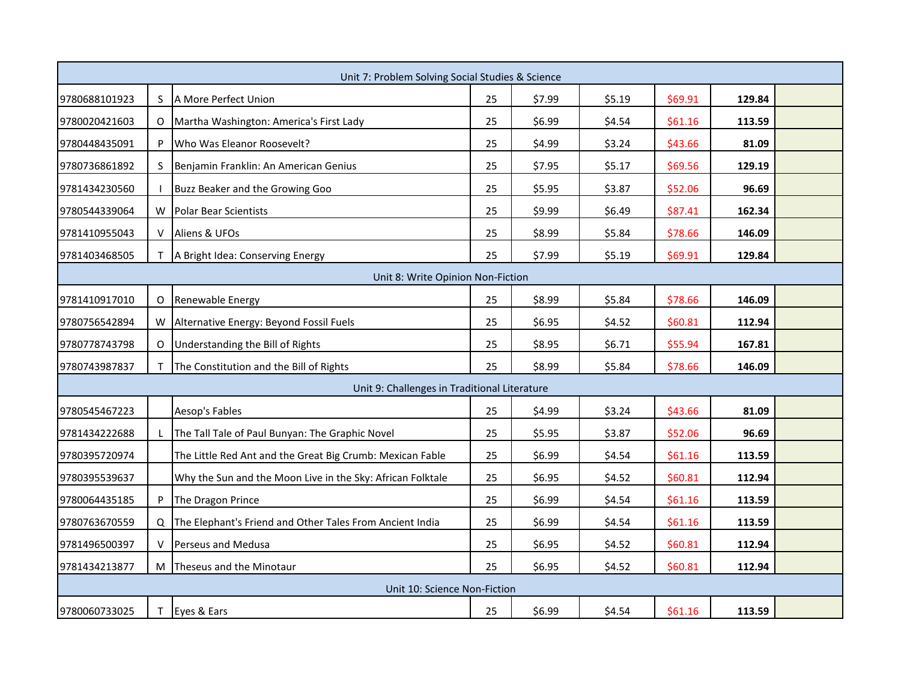|                                   | Unit 7: Problem Solving Social Studies & Science |                                                            |    |        |        |         |        |  |  |
|-----------------------------------|--------------------------------------------------|------------------------------------------------------------|----|--------|--------|---------|--------|--|--|
| 9780688101923                     | S.                                               | A More Perfect Union                                       | 25 | \$7.99 | \$5.19 | \$69.91 | 129.84 |  |  |
| 9780020421603                     | O                                                | Martha Washington: America's First Lady                    | 25 | \$6.99 | \$4.54 | \$61.16 | 113.59 |  |  |
| 9780448435091                     |                                                  | Who Was Eleanor Roosevelt?                                 | 25 | \$4.99 | \$3.24 | \$43.66 | 81.09  |  |  |
| 9780736861892                     | S                                                | Benjamin Franklin: An American Genius                      | 25 | \$7.95 | \$5.17 | \$69.56 | 129.19 |  |  |
| 9781434230560                     |                                                  | Buzz Beaker and the Growing Goo                            | 25 | \$5.95 | \$3.87 | \$52.06 | 96.69  |  |  |
| 9780544339064                     | W                                                | <b>Polar Bear Scientists</b>                               | 25 | \$9.99 | \$6.49 | \$87.41 | 162.34 |  |  |
| 9781410955043                     | V                                                | Aliens & UFOs                                              | 25 | \$8.99 | \$5.84 | \$78.66 | 146.09 |  |  |
| 9781403468505                     | T.                                               | A Bright Idea: Conserving Energy                           | 25 | \$7.99 | \$5.19 | \$69.91 | 129.84 |  |  |
| Unit 8: Write Opinion Non-Fiction |                                                  |                                                            |    |        |        |         |        |  |  |
| 9781410917010                     | O                                                | Renewable Energy                                           | 25 | \$8.99 | \$5.84 | \$78.66 | 146.09 |  |  |
| 9780756542894                     | W                                                | Alternative Energy: Beyond Fossil Fuels                    | 25 | \$6.95 | \$4.52 | \$60.81 | 112.94 |  |  |
| 9780778743798                     | O                                                | Understanding the Bill of Rights                           | 25 | \$8.95 | \$6.71 | \$55.94 | 167.81 |  |  |
| 9780743987837                     |                                                  | The Constitution and the Bill of Rights                    | 25 | \$8.99 | \$5.84 | \$78.66 | 146.09 |  |  |
|                                   |                                                  | Unit 9: Challenges in Traditional Literature               |    |        |        |         |        |  |  |
| 9780545467223                     |                                                  | Aesop's Fables                                             | 25 | \$4.99 | \$3.24 | \$43.66 | 81.09  |  |  |
| 9781434222688                     |                                                  | The Tall Tale of Paul Bunyan: The Graphic Novel            | 25 | \$5.95 | \$3.87 | \$52.06 | 96.69  |  |  |
| 9780395720974                     |                                                  | The Little Red Ant and the Great Big Crumb: Mexican Fable  | 25 | \$6.99 | \$4.54 | \$61.16 | 113.59 |  |  |
| 9780395539637                     |                                                  | Why the Sun and the Moon Live in the Sky: African Folktale | 25 | \$6.95 | \$4.52 | \$60.81 | 112.94 |  |  |
| 9780064435185                     | P                                                | The Dragon Prince                                          | 25 | \$6.99 | \$4.54 | \$61.16 | 113.59 |  |  |
| 9780763670559                     |                                                  | Q The Elephant's Friend and Other Tales From Ancient India | 25 | \$6.99 | \$4.54 | \$61.16 | 113.59 |  |  |
| 9781496500397                     |                                                  | Perseus and Medusa                                         | 25 | \$6.95 | \$4.52 | \$60.81 | 112.94 |  |  |
| 9781434213877                     |                                                  | M Theseus and the Minotaur                                 | 25 | \$6.95 | \$4.52 | \$60.81 | 112.94 |  |  |
|                                   | Unit 10: Science Non-Fiction                     |                                                            |    |        |        |         |        |  |  |
| 9780060733025                     |                                                  | T Eyes & Ears                                              | 25 | \$6.99 | \$4.54 | \$61.16 | 113.59 |  |  |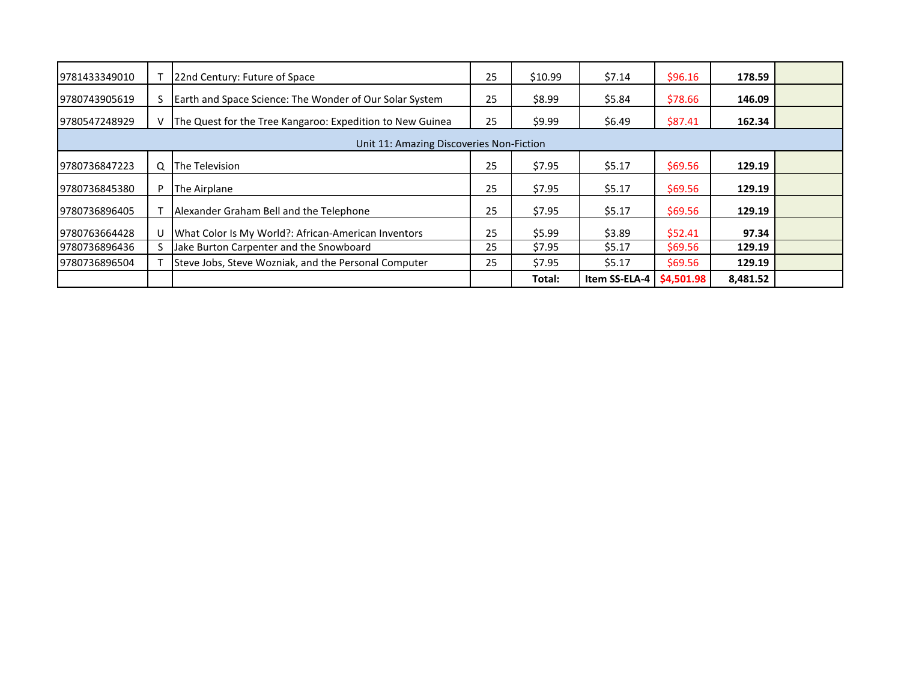| 9781433349010                            |    | 22nd Century: Future of Space                             | 25 | \$10.99 | \$7.14        | \$96.16    | 178.59   |  |  |
|------------------------------------------|----|-----------------------------------------------------------|----|---------|---------------|------------|----------|--|--|
| 9780743905619                            |    | Earth and Space Science: The Wonder of Our Solar System   | 25 | \$8.99  | \$5.84        | \$78.66    | 146.09   |  |  |
| 9780547248929                            | v. | The Quest for the Tree Kangaroo: Expedition to New Guinea | 25 | \$9.99  | \$6.49        | \$87.41    | 162.34   |  |  |
| Unit 11: Amazing Discoveries Non-Fiction |    |                                                           |    |         |               |            |          |  |  |
| 9780736847223                            | Q  | The Television                                            | 25 | \$7.95  | \$5.17        | \$69.56    | 129.19   |  |  |
| 9780736845380                            | P  | The Airplane                                              | 25 | \$7.95  | \$5.17        | \$69.56    | 129.19   |  |  |
| 19780736896405                           |    | Alexander Graham Bell and the Telephone                   | 25 | \$7.95  | \$5.17        | \$69.56    | 129.19   |  |  |
| 9780763664428                            |    | What Color Is My World?: African-American Inventors       | 25 | \$5.99  | \$3.89        | \$52.41    | 97.34    |  |  |
| 9780736896436                            |    | Jake Burton Carpenter and the Snowboard                   | 25 | \$7.95  | \$5.17        | \$69.56    | 129.19   |  |  |
| 9780736896504                            |    | Steve Jobs, Steve Wozniak, and the Personal Computer      | 25 | \$7.95  | \$5.17        | \$69.56    | 129.19   |  |  |
|                                          |    |                                                           |    | Total:  | Item SS-ELA-4 | \$4,501.98 | 8,481.52 |  |  |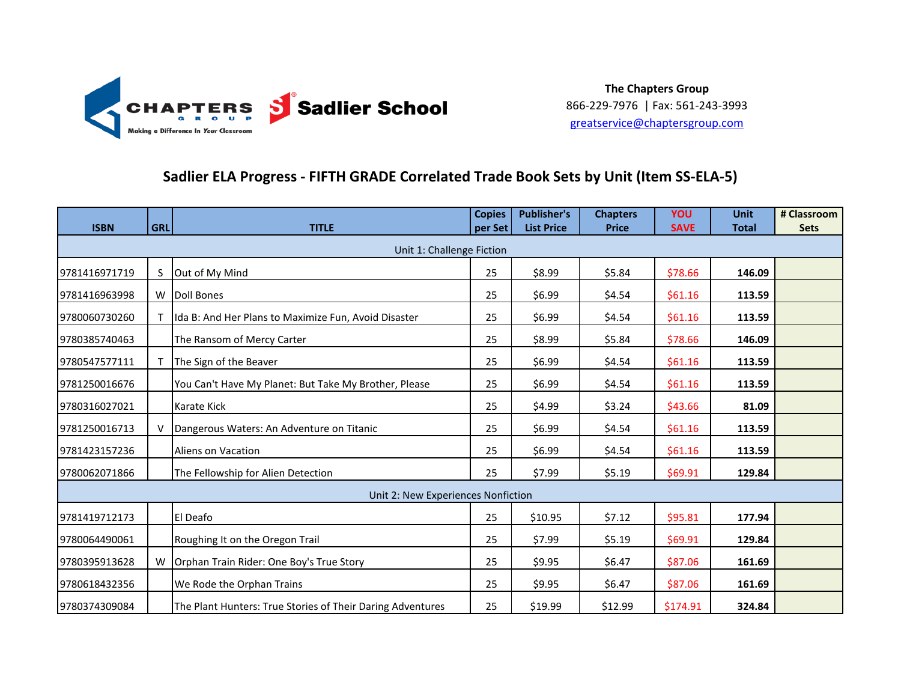

### **Sadlier ELA Progress - FIFTH GRADE Correlated Trade Book Sets by Unit (Item SS-ELA-5)**

| <b>ISBN</b>   | <b>GRL</b> | <b>TITLE</b>                                               | <b>Copies</b><br>per Set | <b>Publisher's</b><br><b>List Price</b> | <b>Chapters</b><br><b>Price</b> | YOU<br><b>SAVE</b> | <b>Unit</b><br><b>Total</b> | # Classroom<br><b>Sets</b> |
|---------------|------------|------------------------------------------------------------|--------------------------|-----------------------------------------|---------------------------------|--------------------|-----------------------------|----------------------------|
|               |            | Unit 1: Challenge Fiction                                  |                          |                                         |                                 |                    |                             |                            |
| 9781416971719 | S          | Out of My Mind                                             | 25                       | \$8.99                                  | \$5.84                          | \$78.66            | 146.09                      |                            |
| 9781416963998 | W          | Doll Bones                                                 | 25                       | \$6.99                                  | \$4.54                          | \$61.16            | 113.59                      |                            |
| 9780060730260 |            | Ida B: And Her Plans to Maximize Fun, Avoid Disaster       | 25                       | \$6.99                                  | \$4.54                          | \$61.16            | 113.59                      |                            |
| 9780385740463 |            | The Ransom of Mercy Carter                                 | 25                       | \$8.99                                  | \$5.84                          | \$78.66            | 146.09                      |                            |
| 9780547577111 |            | The Sign of the Beaver                                     | 25                       | \$6.99                                  | \$4.54                          | \$61.16            | 113.59                      |                            |
| 9781250016676 |            | You Can't Have My Planet: But Take My Brother, Please      | 25                       | \$6.99                                  | \$4.54                          | \$61.16            | 113.59                      |                            |
| 9780316027021 |            | Karate Kick                                                | 25                       | \$4.99                                  | \$3.24                          | \$43.66            | 81.09                       |                            |
| 9781250016713 |            | Dangerous Waters: An Adventure on Titanic                  | 25                       | \$6.99                                  | \$4.54                          | \$61.16            | 113.59                      |                            |
| 9781423157236 |            | Aliens on Vacation                                         | 25                       | \$6.99                                  | \$4.54                          | \$61.16            | 113.59                      |                            |
| 9780062071866 |            | The Fellowship for Alien Detection                         | 25                       | \$7.99                                  | \$5.19                          | \$69.91            | 129.84                      |                            |
|               |            | Unit 2: New Experiences Nonfiction                         |                          |                                         |                                 |                    |                             |                            |
| 9781419712173 |            | El Deafo                                                   | 25                       | \$10.95                                 | \$7.12                          | \$95.81            | 177.94                      |                            |
| 9780064490061 |            | Roughing It on the Oregon Trail                            | 25                       | \$7.99                                  | \$5.19                          | \$69.91            | 129.84                      |                            |
| 9780395913628 |            | W   Orphan Train Rider: One Boy's True Story               | 25                       | \$9.95                                  | \$6.47                          | \$87.06            | 161.69                      |                            |
| 9780618432356 |            | We Rode the Orphan Trains                                  | 25                       | \$9.95                                  | \$6.47                          | \$87.06            | 161.69                      |                            |
| 9780374309084 |            | The Plant Hunters: True Stories of Their Daring Adventures | 25                       | \$19.99                                 | \$12.99                         | \$174.91           | 324.84                      |                            |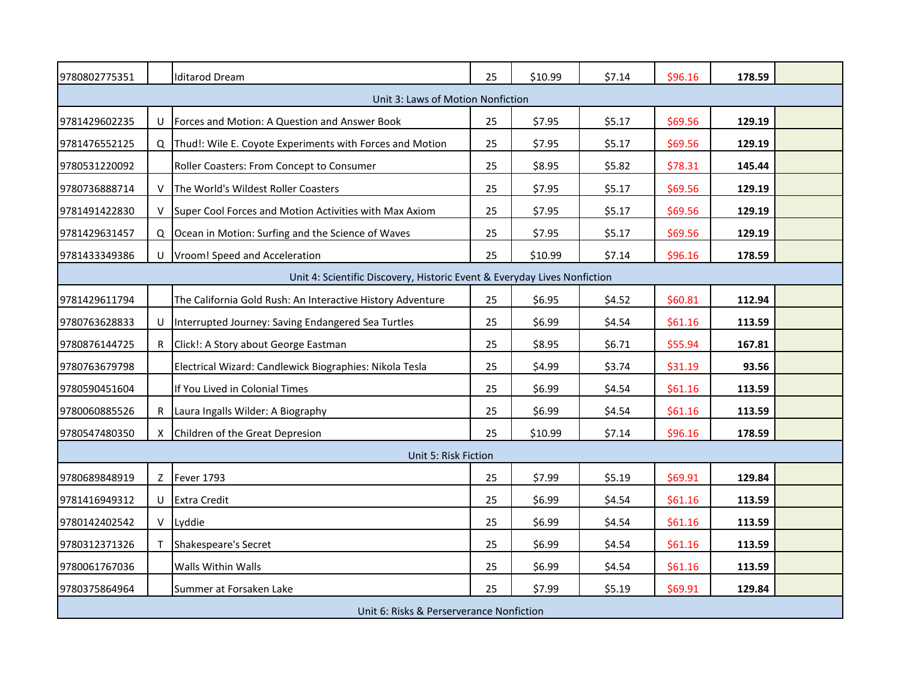| 9780802775351                                                            |    | <b>Iditarod Dream</b>                                      | 25 | \$10.99 | \$7.14 | \$96.16 | 178.59 |  |
|--------------------------------------------------------------------------|----|------------------------------------------------------------|----|---------|--------|---------|--------|--|
|                                                                          |    | Unit 3: Laws of Motion Nonfiction                          |    |         |        |         |        |  |
| 9781429602235                                                            |    | U   Forces and Motion: A Question and Answer Book          | 25 | \$7.95  | \$5.17 | \$69.56 | 129.19 |  |
| 9781476552125                                                            |    | Q Thud!: Wile E. Coyote Experiments with Forces and Motion | 25 | \$7.95  | \$5.17 | \$69.56 | 129.19 |  |
| 9780531220092                                                            |    | Roller Coasters: From Concept to Consumer                  | 25 | \$8.95  | \$5.82 | \$78.31 | 145.44 |  |
| 9780736888714                                                            |    | V The World's Wildest Roller Coasters                      | 25 | \$7.95  | \$5.17 | \$69.56 | 129.19 |  |
| 9781491422830                                                            |    | V Super Cool Forces and Motion Activities with Max Axiom   | 25 | \$7.95  | \$5.17 | \$69.56 | 129.19 |  |
| 9781429631457                                                            |    | Q Ocean in Motion: Surfing and the Science of Waves        | 25 | \$7.95  | \$5.17 | \$69.56 | 129.19 |  |
| 9781433349386                                                            |    | U   Vroom! Speed and Acceleration                          | 25 | \$10.99 | \$7.14 | \$96.16 | 178.59 |  |
| Unit 4: Scientific Discovery, Historic Event & Everyday Lives Nonfiction |    |                                                            |    |         |        |         |        |  |
| 9781429611794                                                            |    | The California Gold Rush: An Interactive History Adventure | 25 | \$6.95  | \$4.52 | \$60.81 | 112.94 |  |
| 9780763628833                                                            |    | Interrupted Journey: Saving Endangered Sea Turtles         | 25 | \$6.99  | \$4.54 | \$61.16 | 113.59 |  |
| 9780876144725                                                            |    | R Click!: A Story about George Eastman                     | 25 | \$8.95  | \$6.71 | \$55.94 | 167.81 |  |
| 9780763679798                                                            |    | Electrical Wizard: Candlewick Biographies: Nikola Tesla    | 25 | \$4.99  | \$3.74 | \$31.19 | 93.56  |  |
| 9780590451604                                                            |    | If You Lived in Colonial Times                             | 25 | \$6.99  | \$4.54 | \$61.16 | 113.59 |  |
| 9780060885526                                                            |    | R Laura Ingalls Wilder: A Biography                        | 25 | \$6.99  | \$4.54 | \$61.16 | 113.59 |  |
| 9780547480350                                                            | X. | Children of the Great Depresion                            | 25 | \$10.99 | \$7.14 | \$96.16 | 178.59 |  |
|                                                                          |    | Unit 5: Risk Fiction                                       |    |         |        |         |        |  |
| 9780689848919                                                            |    | Z Fever 1793                                               | 25 | \$7.99  | \$5.19 | \$69.91 | 129.84 |  |
| 9781416949312                                                            |    | U Extra Credit                                             | 25 | \$6.99  | \$4.54 | \$61.16 | 113.59 |  |
| 9780142402542                                                            |    | V Lyddie                                                   | 25 | \$6.99  | \$4.54 | \$61.16 | 113.59 |  |
| 9780312371326                                                            |    | T Shakespeare's Secret                                     | 25 | \$6.99  | \$4.54 | \$61.16 | 113.59 |  |
| 9780061767036                                                            |    | Walls Within Walls                                         | 25 | \$6.99  | \$4.54 | \$61.16 | 113.59 |  |
| 9780375864964                                                            |    | Summer at Forsaken Lake                                    | 25 | \$7.99  | \$5.19 | \$69.91 | 129.84 |  |
| Unit 6: Risks & Perserverance Nonfiction                                 |    |                                                            |    |         |        |         |        |  |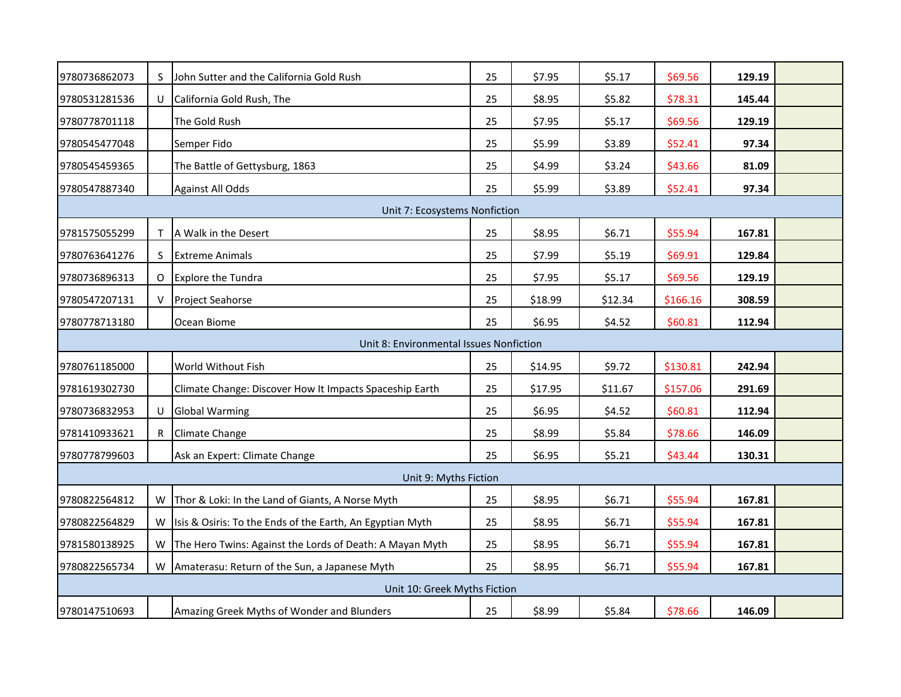| 9780736862073 | S                             | John Sutter and the California Gold Rush                   | 25 | \$7.95  | \$5.17  | \$69.56  | 129.19 |  |  |  |
|---------------|-------------------------------|------------------------------------------------------------|----|---------|---------|----------|--------|--|--|--|
| 9780531281536 |                               | U California Gold Rush, The                                | 25 | \$8.95  | \$5.82  | \$78.31  | 145.44 |  |  |  |
| 9780778701118 |                               | The Gold Rush                                              | 25 | \$7.95  | \$5.17  | \$69.56  | 129.19 |  |  |  |
| 9780545477048 |                               | Semper Fido                                                | 25 | \$5.99  | \$3.89  | \$52.41  | 97.34  |  |  |  |
| 9780545459365 |                               | The Battle of Gettysburg, 1863                             | 25 | \$4.99  | \$3.24  | \$43.66  | 81.09  |  |  |  |
| 9780547887340 |                               | <b>Against All Odds</b>                                    | 25 | \$5.99  | \$3.89  | \$52.41  | 97.34  |  |  |  |
|               | Unit 7: Ecosystems Nonfiction |                                                            |    |         |         |          |        |  |  |  |
| 9781575055299 | T.                            | A Walk in the Desert                                       | 25 | \$8.95  | \$6.71  | \$55.94  | 167.81 |  |  |  |
| 9780763641276 | S.                            | <b>Extreme Animals</b>                                     | 25 | \$7.99  | \$5.19  | \$69.91  | 129.84 |  |  |  |
| 9780736896313 |                               | O Explore the Tundra                                       | 25 | \$7.95  | \$5.17  | \$69.56  | 129.19 |  |  |  |
| 9780547207131 | V                             | <b>Project Seahorse</b>                                    | 25 | \$18.99 | \$12.34 | \$166.16 | 308.59 |  |  |  |
| 9780778713180 |                               | Ocean Biome                                                | 25 | \$6.95  | \$4.52  | \$60.81  | 112.94 |  |  |  |
|               |                               | Unit 8: Environmental Issues Nonfiction                    |    |         |         |          |        |  |  |  |
| 9780761185000 |                               | World Without Fish                                         | 25 | \$14.95 | \$9.72  | \$130.81 | 242.94 |  |  |  |
| 9781619302730 |                               | Climate Change: Discover How It Impacts Spaceship Earth    | 25 | \$17.95 | \$11.67 | \$157.06 | 291.69 |  |  |  |
| 9780736832953 | U                             | <b>Global Warming</b>                                      | 25 | \$6.95  | \$4.52  | \$60.81  | 112.94 |  |  |  |
| 9781410933621 |                               | R Climate Change                                           | 25 | \$8.99  | \$5.84  | \$78.66  | 146.09 |  |  |  |
| 9780778799603 |                               | Ask an Expert: Climate Change                              | 25 | \$6.95  | \$5.21  | \$43.44  | 130.31 |  |  |  |
|               |                               | Unit 9: Myths Fiction                                      |    |         |         |          |        |  |  |  |
| 9780822564812 | W                             | Thor & Loki: In the Land of Giants, A Norse Myth           | 25 | \$8.95  | \$6.71  | \$55.94  | 167.81 |  |  |  |
| 9780822564829 | W                             | Isis & Osiris: To the Ends of the Earth, An Egyptian Myth  | 25 | \$8.95  | \$6.71  | \$55.94  | 167.81 |  |  |  |
| 9781580138925 |                               | W The Hero Twins: Against the Lords of Death: A Mayan Myth | 25 | \$8.95  | \$6.71  | \$55.94  | 167.81 |  |  |  |
| 9780822565734 |                               | W   Amaterasu: Return of the Sun, a Japanese Myth          | 25 | \$8.95  | \$6.71  | \$55.94  | 167.81 |  |  |  |
|               |                               | Unit 10: Greek Myths Fiction                               |    |         |         |          |        |  |  |  |
| 9780147510693 |                               | Amazing Greek Myths of Wonder and Blunders                 | 25 | \$8.99  | \$5.84  | \$78.66  | 146.09 |  |  |  |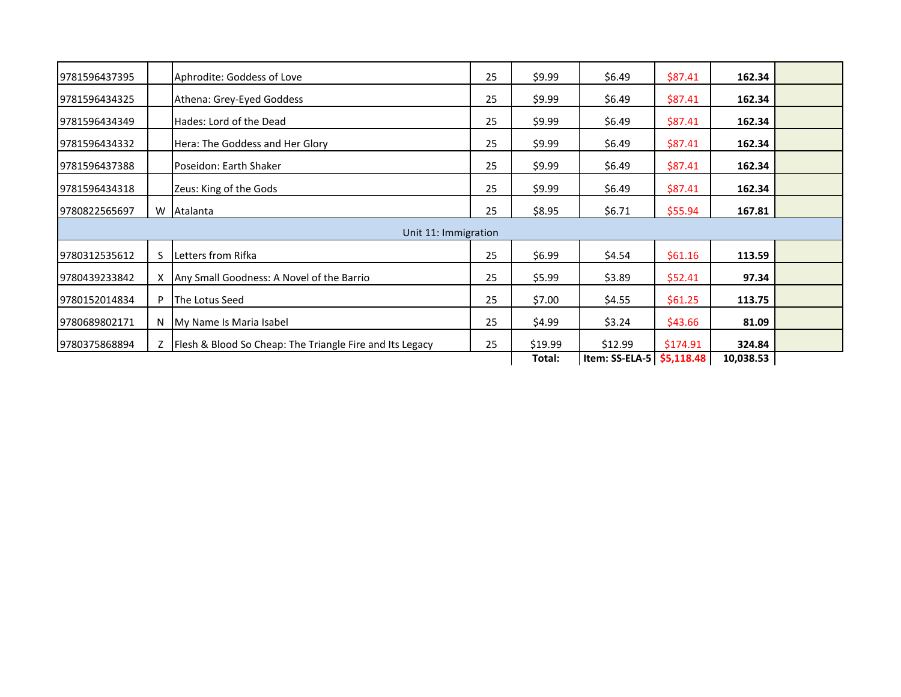| 19781596437395 |    | Aphrodite: Goddess of Love                                   | 25 | \$9.99  | \$6.49         | \$87.41    | 162.34    |  |
|----------------|----|--------------------------------------------------------------|----|---------|----------------|------------|-----------|--|
| 9781596434325  |    | Athena: Grey-Eyed Goddess                                    | 25 | \$9.99  | \$6.49         | \$87.41    | 162.34    |  |
| 19781596434349 |    | Hades: Lord of the Dead                                      | 25 | \$9.99  | \$6.49         | \$87.41    | 162.34    |  |
| 9781596434332  |    | Hera: The Goddess and Her Glory                              | 25 | \$9.99  | \$6.49         | \$87.41    | 162.34    |  |
| 9781596437388  |    | Poseidon: Earth Shaker                                       | 25 | \$9.99  | \$6.49         | \$87.41    | 162.34    |  |
| 19781596434318 |    | Zeus: King of the Gods                                       | 25 | \$9.99  | \$6.49         | \$87.41    | 162.34    |  |
| 9780822565697  |    | W Atalanta                                                   | 25 | \$8.95  | \$6.71         | \$55.94    | 167.81    |  |
|                |    | Unit 11: Immigration                                         |    |         |                |            |           |  |
| 9780312535612  | S. | Letters from Rifka                                           | 25 | \$6.99  | \$4.54         | \$61.16    | 113.59    |  |
| 9780439233842  |    | X   Any Small Goodness: A Novel of the Barrio                | 25 | \$5.99  | \$3.89         | \$52.41    | 97.34     |  |
| 19780152014834 | P  | <b>The Lotus Seed</b>                                        | 25 | \$7.00  | \$4.55         | \$61.25    | 113.75    |  |
| 9780689802171  |    | N My Name Is Maria Isabel                                    | 25 | \$4.99  | \$3.24         | \$43.66    | 81.09     |  |
| 9780375868894  |    | Z   Flesh & Blood So Cheap: The Triangle Fire and Its Legacy | 25 | \$19.99 | \$12.99        | \$174.91   | 324.84    |  |
|                |    |                                                              |    | Total:  | Item: SS-ELA-5 | \$5,118.48 | 10,038.53 |  |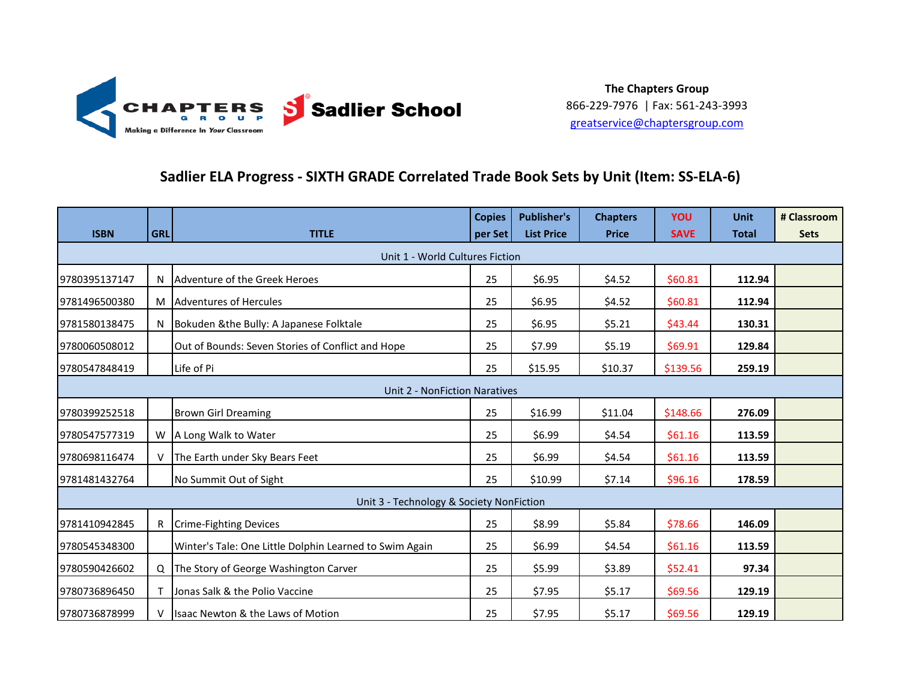

### **Sadlier ELA Progress - SIXTH GRADE Correlated Trade Book Sets by Unit (Item: SS-ELA-6)**

|                                 |            |                                                         | <b>Copies</b> | <b>Publisher's</b> | <b>Chapters</b> | <b>YOU</b>  | <b>Unit</b>  | # Classroom |  |  |
|---------------------------------|------------|---------------------------------------------------------|---------------|--------------------|-----------------|-------------|--------------|-------------|--|--|
| <b>ISBN</b>                     | <b>GRL</b> | <b>TITLE</b>                                            | per Set       | <b>List Price</b>  | <b>Price</b>    | <b>SAVE</b> | <b>Total</b> | <b>Sets</b> |  |  |
| Unit 1 - World Cultures Fiction |            |                                                         |               |                    |                 |             |              |             |  |  |
| 9780395137147                   |            | N Adventure of the Greek Heroes                         | 25            | \$6.95             | \$4.52          | \$60.81     | 112.94       |             |  |  |
| 9781496500380                   |            | M Adventures of Hercules                                | 25            | \$6.95             | \$4.52          | \$60.81     | 112.94       |             |  |  |
| 9781580138475                   |            | N Bokuden & the Bully: A Japanese Folktale              | 25            | \$6.95             | \$5.21          | \$43.44     | 130.31       |             |  |  |
| 9780060508012                   |            | Out of Bounds: Seven Stories of Conflict and Hope       | 25            | \$7.99             | \$5.19          | \$69.91     | 129.84       |             |  |  |
| 9780547848419                   |            | Life of Pi                                              | 25            | \$15.95            | \$10.37         | \$139.56    | 259.19       |             |  |  |
| Unit 2 - NonFiction Naratives   |            |                                                         |               |                    |                 |             |              |             |  |  |
| 9780399252518                   |            | <b>Brown Girl Dreaming</b>                              | 25            | \$16.99            | \$11.04         | \$148.66    | 276.09       |             |  |  |
| 9780547577319                   |            | W   A Long Walk to Water                                | 25            | \$6.99             | \$4.54          | \$61.16     | 113.59       |             |  |  |
| 9780698116474                   |            | V The Earth under Sky Bears Feet                        | 25            | \$6.99             | \$4.54          | \$61.16     | 113.59       |             |  |  |
| 9781481432764                   |            | No Summit Out of Sight                                  | 25            | \$10.99            | \$7.14          | \$96.16     | 178.59       |             |  |  |
|                                 |            | Unit 3 - Technology & Society NonFiction                |               |                    |                 |             |              |             |  |  |
| 9781410942845                   |            | R Crime-Fighting Devices                                | 25            | \$8.99             | \$5.84          | \$78.66     | 146.09       |             |  |  |
| 9780545348300                   |            | Winter's Tale: One Little Dolphin Learned to Swim Again | 25            | \$6.99             | \$4.54          | \$61.16     | 113.59       |             |  |  |
| 9780590426602                   |            | Q The Story of George Washington Carver                 | 25            | \$5.99             | \$3.89          | \$52.41     | 97.34        |             |  |  |
| 9780736896450                   |            | Jonas Salk & the Polio Vaccine                          | 25            | \$7.95             | \$5.17          | \$69.56     | 129.19       |             |  |  |
| 9780736878999                   |            | Isaac Newton & the Laws of Motion                       | 25            | \$7.95             | \$5.17          | \$69.56     | 129.19       |             |  |  |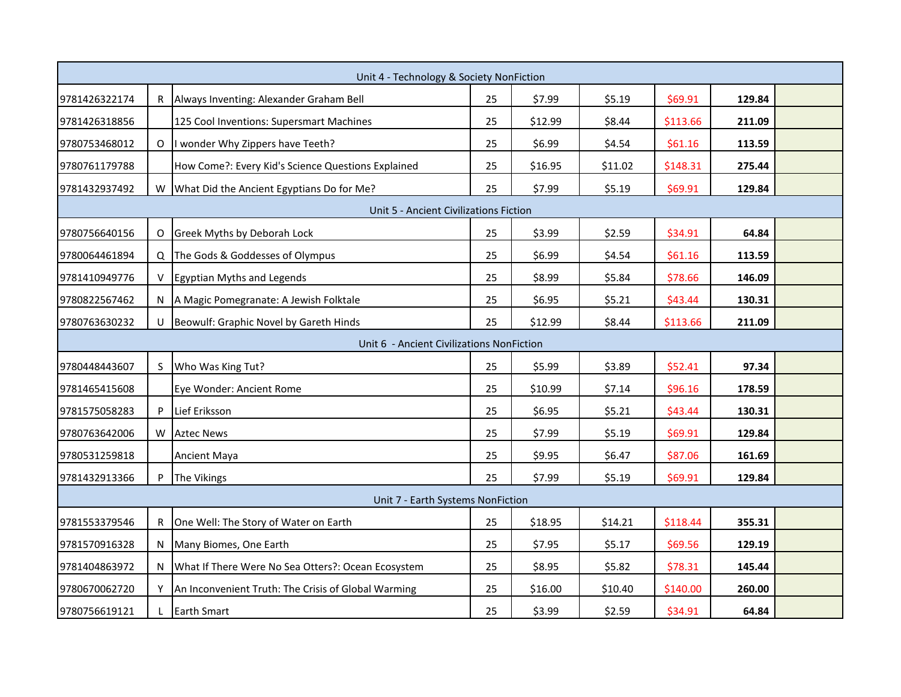|               | Unit 4 - Technology & Society NonFiction  |                                                     |    |         |         |          |        |  |  |  |
|---------------|-------------------------------------------|-----------------------------------------------------|----|---------|---------|----------|--------|--|--|--|
| 9781426322174 |                                           | R Always Inventing: Alexander Graham Bell           | 25 | \$7.99  | \$5.19  | \$69.91  | 129.84 |  |  |  |
| 9781426318856 |                                           | 125 Cool Inventions: Supersmart Machines            | 25 | \$12.99 | \$8.44  | \$113.66 | 211.09 |  |  |  |
| 9780753468012 |                                           | O I wonder Why Zippers have Teeth?                  | 25 | \$6.99  | \$4.54  | \$61.16  | 113.59 |  |  |  |
| 9780761179788 |                                           | How Come?: Every Kid's Science Questions Explained  | 25 | \$16.95 | \$11.02 | \$148.31 | 275.44 |  |  |  |
| 9781432937492 |                                           | W   What Did the Ancient Egyptians Do for Me?       | 25 | \$7.99  | \$5.19  | \$69.91  | 129.84 |  |  |  |
|               |                                           | Unit 5 - Ancient Civilizations Fiction              |    |         |         |          |        |  |  |  |
| 9780756640156 |                                           | O Greek Myths by Deborah Lock                       | 25 | \$3.99  | \$2.59  | \$34.91  | 64.84  |  |  |  |
| 9780064461894 |                                           | Q The Gods & Goddesses of Olympus                   | 25 | \$6.99  | \$4.54  | \$61.16  | 113.59 |  |  |  |
| 9781410949776 | V                                         | Egyptian Myths and Legends                          | 25 | \$8.99  | \$5.84  | \$78.66  | 146.09 |  |  |  |
| 9780822567462 |                                           | N   A Magic Pomegranate: A Jewish Folktale          | 25 | \$6.95  | \$5.21  | \$43.44  | 130.31 |  |  |  |
| 9780763630232 |                                           | U Beowulf: Graphic Novel by Gareth Hinds            | 25 | \$12.99 | \$8.44  | \$113.66 | 211.09 |  |  |  |
|               | Unit 6 - Ancient Civilizations NonFiction |                                                     |    |         |         |          |        |  |  |  |
| 9780448443607 | S                                         | Who Was King Tut?                                   | 25 | \$5.99  | \$3.89  | \$52.41  | 97.34  |  |  |  |
| 9781465415608 |                                           | Eye Wonder: Ancient Rome                            | 25 | \$10.99 | \$7.14  | \$96.16  | 178.59 |  |  |  |
| 9781575058283 | P                                         | Lief Eriksson                                       | 25 | \$6.95  | \$5.21  | \$43.44  | 130.31 |  |  |  |
| 9780763642006 |                                           | W Aztec News                                        | 25 | \$7.99  | \$5.19  | \$69.91  | 129.84 |  |  |  |
| 9780531259818 |                                           | Ancient Maya                                        | 25 | \$9.95  | \$6.47  | \$87.06  | 161.69 |  |  |  |
| 9781432913366 |                                           | The Vikings                                         | 25 | \$7.99  | \$5.19  | \$69.91  | 129.84 |  |  |  |
|               |                                           | Unit 7 - Earth Systems NonFiction                   |    |         |         |          |        |  |  |  |
| 9781553379546 |                                           | R One Well: The Story of Water on Earth             | 25 | \$18.95 | \$14.21 | \$118.44 | 355.31 |  |  |  |
| 9781570916328 |                                           | N   Many Biomes, One Earth                          | 25 | \$7.95  | \$5.17  | \$69.56  | 129.19 |  |  |  |
| 9781404863972 |                                           | What If There Were No Sea Otters?: Ocean Ecosystem  | 25 | \$8.95  | \$5.82  | \$78.31  | 145.44 |  |  |  |
| 9780670062720 | Y.                                        | An Inconvenient Truth: The Crisis of Global Warming | 25 | \$16.00 | \$10.40 | \$140.00 | 260.00 |  |  |  |
| 9780756619121 |                                           | <b>Earth Smart</b>                                  | 25 | \$3.99  | \$2.59  | \$34.91  | 64.84  |  |  |  |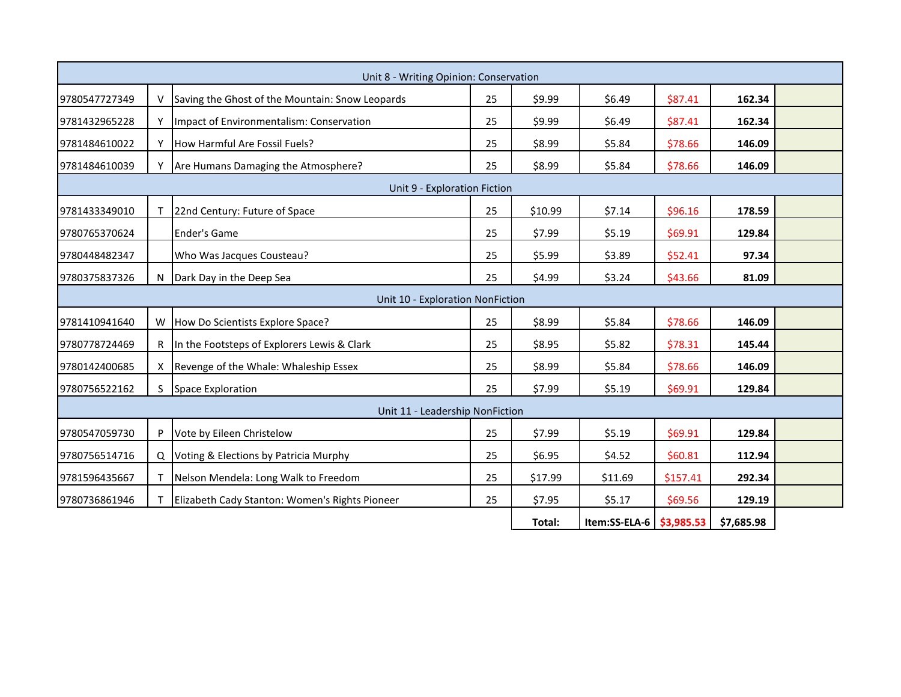|                              | Unit 8 - Writing Opinion: Conservation |                                                 |    |         |                          |          |            |  |  |
|------------------------------|----------------------------------------|-------------------------------------------------|----|---------|--------------------------|----------|------------|--|--|
| 9780547727349                |                                        | Saving the Ghost of the Mountain: Snow Leopards | 25 | \$9.99  | \$6.49                   | \$87.41  | 162.34     |  |  |
| 9781432965228                |                                        | Impact of Environmentalism: Conservation        | 25 | \$9.99  | \$6.49                   | \$87.41  | 162.34     |  |  |
| 9781484610022                |                                        | How Harmful Are Fossil Fuels?                   | 25 | \$8.99  | \$5.84                   | \$78.66  | 146.09     |  |  |
| 9781484610039                |                                        | Are Humans Damaging the Atmosphere?             | 25 | \$8.99  | \$5.84                   | \$78.66  | 146.09     |  |  |
| Unit 9 - Exploration Fiction |                                        |                                                 |    |         |                          |          |            |  |  |
| 9781433349010                |                                        | 22nd Century: Future of Space                   | 25 | \$10.99 | \$7.14                   | \$96.16  | 178.59     |  |  |
| 9780765370624                |                                        | <b>Ender's Game</b>                             | 25 | \$7.99  | \$5.19                   | \$69.91  | 129.84     |  |  |
| 9780448482347                |                                        | Who Was Jacques Cousteau?                       | 25 | \$5.99  | \$3.89                   | \$52.41  | 97.34      |  |  |
| 9780375837326                |                                        | Dark Day in the Deep Sea                        | 25 | \$4.99  | \$3.24                   | \$43.66  | 81.09      |  |  |
|                              |                                        | Unit 10 - Exploration NonFiction                |    |         |                          |          |            |  |  |
| 9781410941640                |                                        | W  How Do Scientists Explore Space?             | 25 | \$8.99  | \$5.84                   | \$78.66  | 146.09     |  |  |
| 9780778724469                |                                        | R In the Footsteps of Explorers Lewis & Clark   | 25 | \$8.95  | \$5.82                   | \$78.31  | 145.44     |  |  |
| 9780142400685                |                                        | X Revenge of the Whale: Whaleship Essex         | 25 | \$8.99  | \$5.84                   | \$78.66  | 146.09     |  |  |
| 9780756522162                | S.                                     | <b>Space Exploration</b>                        | 25 | \$7.99  | \$5.19                   | \$69.91  | 129.84     |  |  |
|                              |                                        | Unit 11 - Leadership NonFiction                 |    |         |                          |          |            |  |  |
| 9780547059730                |                                        | P Vote by Eileen Christelow                     | 25 | \$7.99  | \$5.19                   | \$69.91  | 129.84     |  |  |
| 9780756514716                |                                        | Q Voting & Elections by Patricia Murphy         | 25 | \$6.95  | \$4.52                   | \$60.81  | 112.94     |  |  |
| 9781596435667                |                                        | Nelson Mendela: Long Walk to Freedom            | 25 | \$17.99 | \$11.69                  | \$157.41 | 292.34     |  |  |
| 9780736861946                |                                        | Elizabeth Cady Stanton: Women's Rights Pioneer  | 25 | \$7.95  | \$5.17                   | \$69.56  | 129.19     |  |  |
|                              |                                        |                                                 |    | Total:  | Item:SS-ELA-6 \$3,985.53 |          | \$7,685.98 |  |  |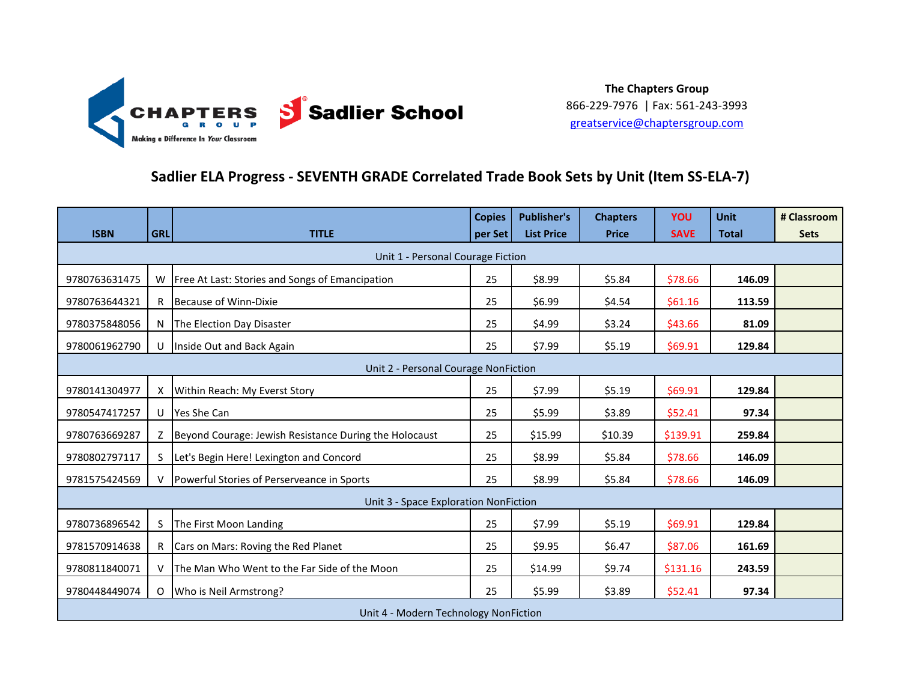

### **Sadlier ELA Progress - SEVENTH GRADE Correlated Trade Book Sets by Unit (Item SS-ELA-7)**

|                                       |            |                                                           | <b>Copies</b> | <b>Publisher's</b> | <b>Chapters</b> | <b>YOU</b>  | <b>Unit</b>  | # Classroom |  |
|---------------------------------------|------------|-----------------------------------------------------------|---------------|--------------------|-----------------|-------------|--------------|-------------|--|
| <b>ISBN</b>                           | <b>GRL</b> | <b>TITLE</b>                                              | per Set       | <b>List Price</b>  | <b>Price</b>    | <b>SAVE</b> | <b>Total</b> | <b>Sets</b> |  |
| Unit 1 - Personal Courage Fiction     |            |                                                           |               |                    |                 |             |              |             |  |
| 9780763631475                         |            | W   Free At Last: Stories and Songs of Emancipation       | 25            | \$8.99             | \$5.84          | \$78.66     | 146.09       |             |  |
| 9780763644321                         |            | R Because of Winn-Dixie                                   | 25            | \$6.99             | \$4.54          | \$61.16     | 113.59       |             |  |
| 9780375848056                         |            | N The Election Day Disaster                               | 25            | \$4.99             | \$3.24          | \$43.66     | 81.09        |             |  |
| 9780061962790                         |            | U   Inside Out and Back Again                             | 25            | \$7.99             | \$5.19          | \$69.91     | 129.84       |             |  |
| Unit 2 - Personal Courage NonFiction  |            |                                                           |               |                    |                 |             |              |             |  |
| 9780141304977                         |            | X Within Reach: My Everst Story                           | 25            | \$7.99             | \$5.19          | \$69.91     | 129.84       |             |  |
| 9780547417257                         |            | U Yes She Can                                             | 25            | \$5.99             | \$3.89          | \$52.41     | 97.34        |             |  |
| 9780763669287                         |            | Z  Beyond Courage: Jewish Resistance During the Holocaust | 25            | \$15.99            | \$10.39         | \$139.91    | 259.84       |             |  |
| 9780802797117                         | S.         | Let's Begin Here! Lexington and Concord                   | 25            | \$8.99             | \$5.84          | \$78.66     | 146.09       |             |  |
| 9781575424569                         |            | V   Powerful Stories of Perserveance in Sports            | 25            | \$8.99             | \$5.84          | \$78.66     | 146.09       |             |  |
|                                       |            | Unit 3 - Space Exploration NonFiction                     |               |                    |                 |             |              |             |  |
| 9780736896542                         | S.         | The First Moon Landing                                    | 25            | \$7.99             | \$5.19          | \$69.91     | 129.84       |             |  |
| 9781570914638                         |            | R Cars on Mars: Roving the Red Planet                     | 25            | \$9.95             | \$6.47          | \$87.06     | 161.69       |             |  |
| 9780811840071                         |            | The Man Who Went to the Far Side of the Moon              | 25            | \$14.99            | \$9.74          | \$131.16    | 243.59       |             |  |
| 9780448449074                         |            | O   Who is Neil Armstrong?                                | 25            | \$5.99             | \$3.89          | \$52.41     | 97.34        |             |  |
| Unit 4 - Modern Technology NonFiction |            |                                                           |               |                    |                 |             |              |             |  |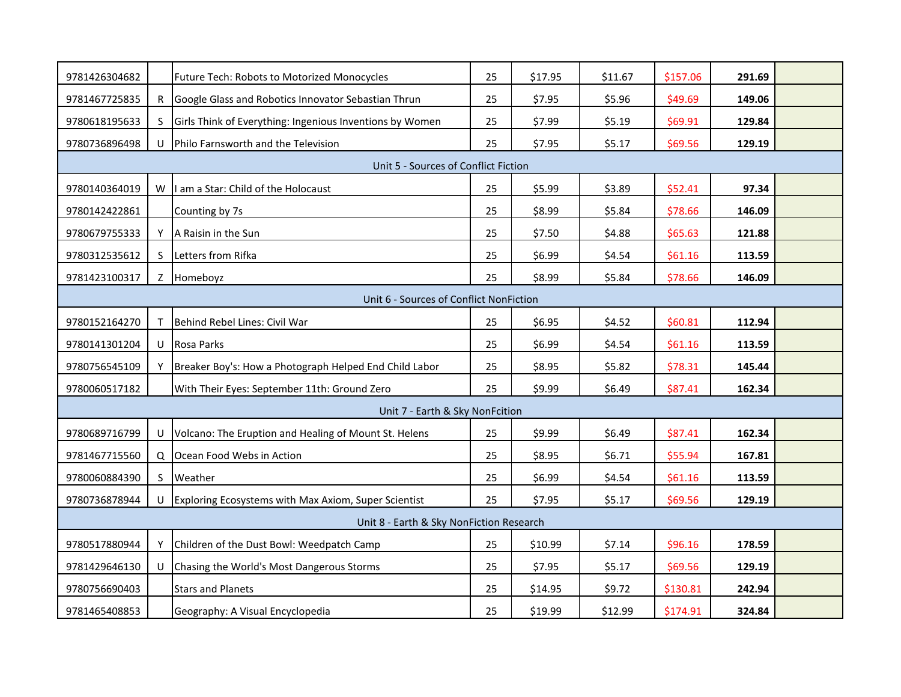| 9781426304682                           |    | Future Tech: Robots to Motorized Monocycles              | 25 | \$17.95 | \$11.67 | \$157.06 | 291.69 |  |  |
|-----------------------------------------|----|----------------------------------------------------------|----|---------|---------|----------|--------|--|--|
| 9781467725835                           | R. | Google Glass and Robotics Innovator Sebastian Thrun      | 25 | \$7.95  | \$5.96  | \$49.69  | 149.06 |  |  |
| 9780618195633                           | S  | Girls Think of Everything: Ingenious Inventions by Women | 25 | \$7.99  | \$5.19  | \$69.91  | 129.84 |  |  |
| 9780736896498                           |    | U Philo Farnsworth and the Television                    | 25 | \$7.95  | \$5.17  | \$69.56  | 129.19 |  |  |
| Unit 5 - Sources of Conflict Fiction    |    |                                                          |    |         |         |          |        |  |  |
| 9780140364019                           | W  | am a Star: Child of the Holocaust                        | 25 | \$5.99  | \$3.89  | \$52.41  | 97.34  |  |  |
| 9780142422861                           |    | Counting by 7s                                           | 25 | \$8.99  | \$5.84  | \$78.66  | 146.09 |  |  |
| 9780679755333                           | Y  | A Raisin in the Sun                                      | 25 | \$7.50  | \$4.88  | \$65.63  | 121.88 |  |  |
| 9780312535612                           | S. | Letters from Rifka                                       | 25 | \$6.99  | \$4.54  | \$61.16  | 113.59 |  |  |
| 9781423100317                           | Z  | Homeboyz                                                 | 25 | \$8.99  | \$5.84  | \$78.66  | 146.09 |  |  |
| Unit 6 - Sources of Conflict NonFiction |    |                                                          |    |         |         |          |        |  |  |
| 9780152164270                           |    | Behind Rebel Lines: Civil War                            | 25 | \$6.95  | \$4.52  | \$60.81  | 112.94 |  |  |
| 9780141301204                           | U  | Rosa Parks                                               | 25 | \$6.99  | \$4.54  | \$61.16  | 113.59 |  |  |
| 9780756545109                           |    | Breaker Boy's: How a Photograph Helped End Child Labor   | 25 | \$8.95  | \$5.82  | \$78.31  | 145.44 |  |  |
| 9780060517182                           |    | With Their Eyes: September 11th: Ground Zero             | 25 | \$9.99  | \$6.49  | \$87.41  | 162.34 |  |  |
|                                         |    | Unit 7 - Earth & Sky NonFcition                          |    |         |         |          |        |  |  |
| 9780689716799                           | U  | Volcano: The Eruption and Healing of Mount St. Helens    | 25 | \$9.99  | \$6.49  | \$87.41  | 162.34 |  |  |
| 9781467715560                           |    | Q Ocean Food Webs in Action                              | 25 | \$8.95  | \$6.71  | \$55.94  | 167.81 |  |  |
| 9780060884390                           | S. | Weather                                                  | 25 | \$6.99  | \$4.54  | \$61.16  | 113.59 |  |  |
| 9780736878944                           |    | U Exploring Ecosystems with Max Axiom, Super Scientist   | 25 | \$7.95  | \$5.17  | \$69.56  | 129.19 |  |  |
|                                         |    | Unit 8 - Earth & Sky NonFiction Research                 |    |         |         |          |        |  |  |
| 9780517880944                           |    | Children of the Dust Bowl: Weedpatch Camp                | 25 | \$10.99 | \$7.14  | \$96.16  | 178.59 |  |  |
| 9781429646130                           |    | U Chasing the World's Most Dangerous Storms              | 25 | \$7.95  | \$5.17  | \$69.56  | 129.19 |  |  |
| 9780756690403                           |    | <b>Stars and Planets</b>                                 | 25 | \$14.95 | \$9.72  | \$130.81 | 242.94 |  |  |
| 9781465408853                           |    | Geography: A Visual Encyclopedia                         | 25 | \$19.99 | \$12.99 | \$174.91 | 324.84 |  |  |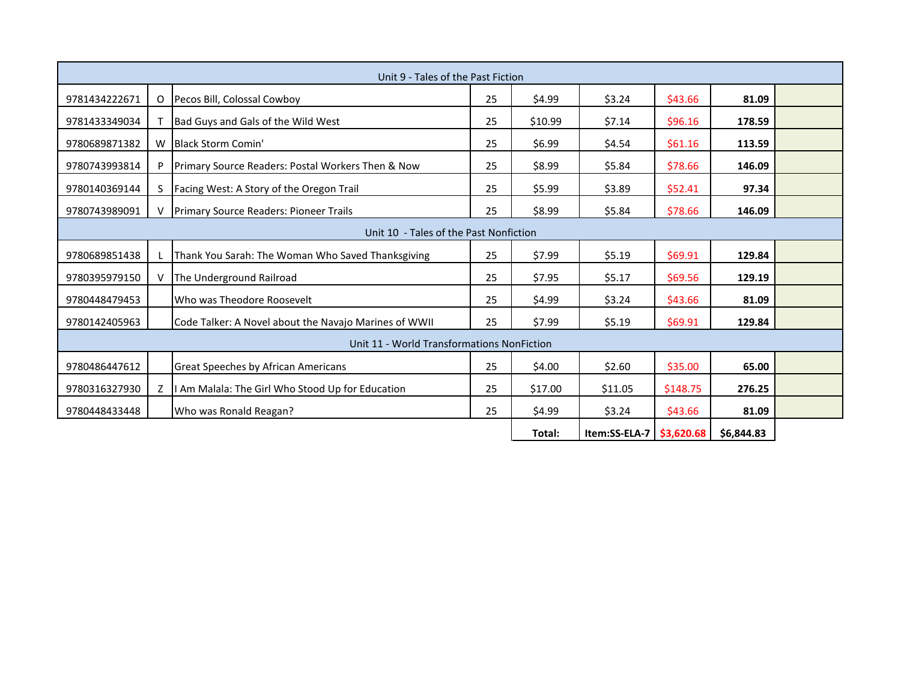| Unit 9 - Tales of the Past Fiction     |                                            |                                                       |    |         |               |            |            |  |  |
|----------------------------------------|--------------------------------------------|-------------------------------------------------------|----|---------|---------------|------------|------------|--|--|
| 9781434222671                          | O                                          | Pecos Bill, Colossal Cowboy                           | 25 | \$4.99  | \$3.24        | \$43.66    | 81.09      |  |  |
| 9781433349034                          |                                            | Bad Guys and Gals of the Wild West                    | 25 | \$10.99 | \$7.14        | \$96.16    | 178.59     |  |  |
| 9780689871382                          | W                                          | Black Storm Comin'                                    | 25 | \$6.99  | \$4.54        | \$61.16    | 113.59     |  |  |
| 9780743993814                          |                                            | Primary Source Readers: Postal Workers Then & Now     | 25 | \$8.99  | \$5.84        | \$78.66    | 146.09     |  |  |
| 9780140369144                          |                                            | Facing West: A Story of the Oregon Trail              | 25 | \$5.99  | \$3.89        | \$52.41    | 97.34      |  |  |
| 9780743989091                          |                                            | <b>Primary Source Readers: Pioneer Trails</b>         | 25 | \$8.99  | \$5.84        | \$78.66    | 146.09     |  |  |
| Unit 10 - Tales of the Past Nonfiction |                                            |                                                       |    |         |               |            |            |  |  |
| 9780689851438                          |                                            | Thank You Sarah: The Woman Who Saved Thanksgiving     | 25 | \$7.99  | \$5.19        | \$69.91    | 129.84     |  |  |
| 9780395979150                          |                                            | The Underground Railroad                              | 25 | \$7.95  | \$5.17        | \$69.56    | 129.19     |  |  |
| 9780448479453                          |                                            | Who was Theodore Roosevelt                            | 25 | \$4.99  | \$3.24        | \$43.66    | 81.09      |  |  |
| 9780142405963                          |                                            | Code Talker: A Novel about the Navajo Marines of WWII | 25 | \$7.99  | \$5.19        | \$69.91    | 129.84     |  |  |
|                                        | Unit 11 - World Transformations NonFiction |                                                       |    |         |               |            |            |  |  |
| 9780486447612                          |                                            | <b>Great Speeches by African Americans</b>            | 25 | \$4.00  | \$2.60        | \$35.00    | 65.00      |  |  |
| 9780316327930                          |                                            | I Am Malala: The Girl Who Stood Up for Education      | 25 | \$17.00 | \$11.05       | \$148.75   | 276.25     |  |  |
| 9780448433448                          |                                            | Who was Ronald Reagan?                                | 25 | \$4.99  | \$3.24        | \$43.66    | 81.09      |  |  |
|                                        |                                            |                                                       |    | Total:  | Item:SS-ELA-7 | \$3,620.68 | \$6,844.83 |  |  |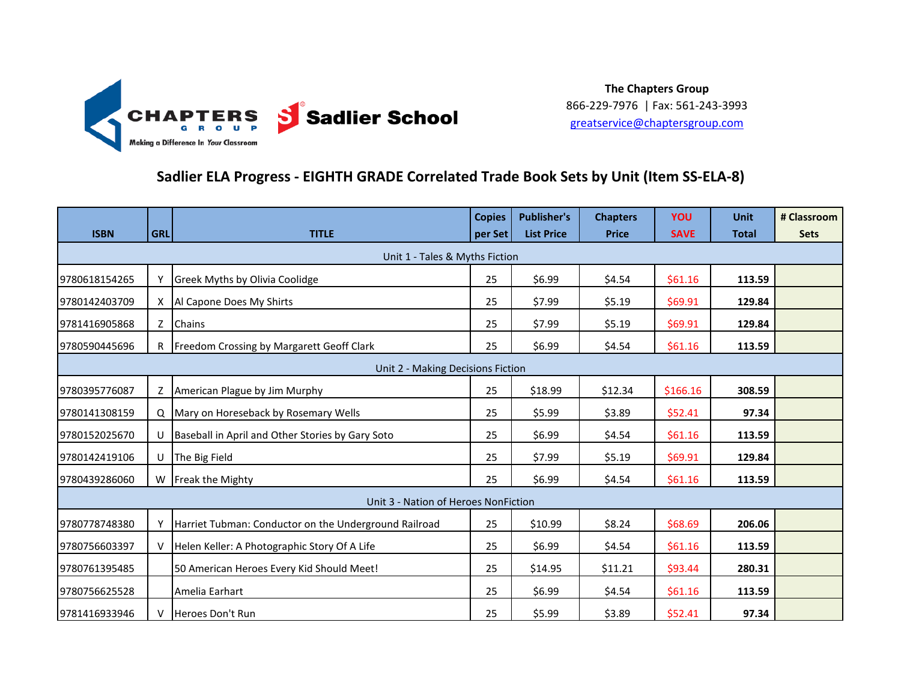

### **Sadlier ELA Progress - EIGHTH GRADE Correlated Trade Book Sets by Unit (Item SS-ELA-8)**

| <b>ISBN</b>   | <b>GRL</b>                        | <b>TITLE</b>                                          | <b>Copies</b> | <b>Publisher's</b><br><b>List Price</b> | <b>Chapters</b> | <b>YOU</b><br><b>SAVE</b> | <b>Unit</b>  | # Classroom |  |
|---------------|-----------------------------------|-------------------------------------------------------|---------------|-----------------------------------------|-----------------|---------------------------|--------------|-------------|--|
|               |                                   |                                                       | per Set       |                                         | <b>Price</b>    |                           | <b>Total</b> | <b>Sets</b> |  |
|               | Unit 1 - Tales & Myths Fiction    |                                                       |               |                                         |                 |                           |              |             |  |
| 9780618154265 |                                   | <b>Greek Myths by Olivia Coolidge</b>                 | 25            | \$6.99                                  | \$4.54          | \$61.16                   | 113.59       |             |  |
| 9780142403709 |                                   | X Al Capone Does My Shirts                            | 25            | \$7.99                                  | \$5.19          | \$69.91                   | 129.84       |             |  |
| 9781416905868 |                                   | Z Chains                                              | 25            | \$7.99                                  | \$5.19          | \$69.91                   | 129.84       |             |  |
| 9780590445696 |                                   | R Freedom Crossing by Margarett Geoff Clark           | 25            | \$6.99                                  | \$4.54          | \$61.16                   | 113.59       |             |  |
|               | Unit 2 - Making Decisions Fiction |                                                       |               |                                         |                 |                           |              |             |  |
| 9780395776087 |                                   | Z American Plague by Jim Murphy                       | 25            | \$18.99                                 | \$12.34         | \$166.16                  | 308.59       |             |  |
| 9780141308159 |                                   | Q Mary on Horeseback by Rosemary Wells                | 25            | \$5.99                                  | \$3.89          | \$52.41                   | 97.34        |             |  |
| 9780152025670 |                                   | U Baseball in April and Other Stories by Gary Soto    | 25            | \$6.99                                  | \$4.54          | \$61.16                   | 113.59       |             |  |
| 9780142419106 |                                   | U The Big Field                                       | 25            | \$7.99                                  | \$5.19          | \$69.91                   | 129.84       |             |  |
| 9780439286060 |                                   | W Freak the Mighty                                    | 25            | \$6.99                                  | \$4.54          | \$61.16                   | 113.59       |             |  |
|               |                                   | Unit 3 - Nation of Heroes NonFiction                  |               |                                         |                 |                           |              |             |  |
| 9780778748380 |                                   | Harriet Tubman: Conductor on the Underground Railroad | 25            | \$10.99                                 | \$8.24          | \$68.69                   | 206.06       |             |  |
| 9780756603397 |                                   | Helen Keller: A Photographic Story Of A Life          | 25            | \$6.99                                  | \$4.54          | \$61.16                   | 113.59       |             |  |
| 9780761395485 |                                   | 50 American Heroes Every Kid Should Meet!             | 25            | \$14.95                                 | \$11.21         | \$93.44                   | 280.31       |             |  |
| 9780756625528 |                                   | Amelia Earhart                                        | 25            | \$6.99                                  | \$4.54          | \$61.16                   | 113.59       |             |  |
| 9781416933946 |                                   | Heroes Don't Run                                      | 25            | \$5.99                                  | \$3.89          | \$52.41                   | 97.34        |             |  |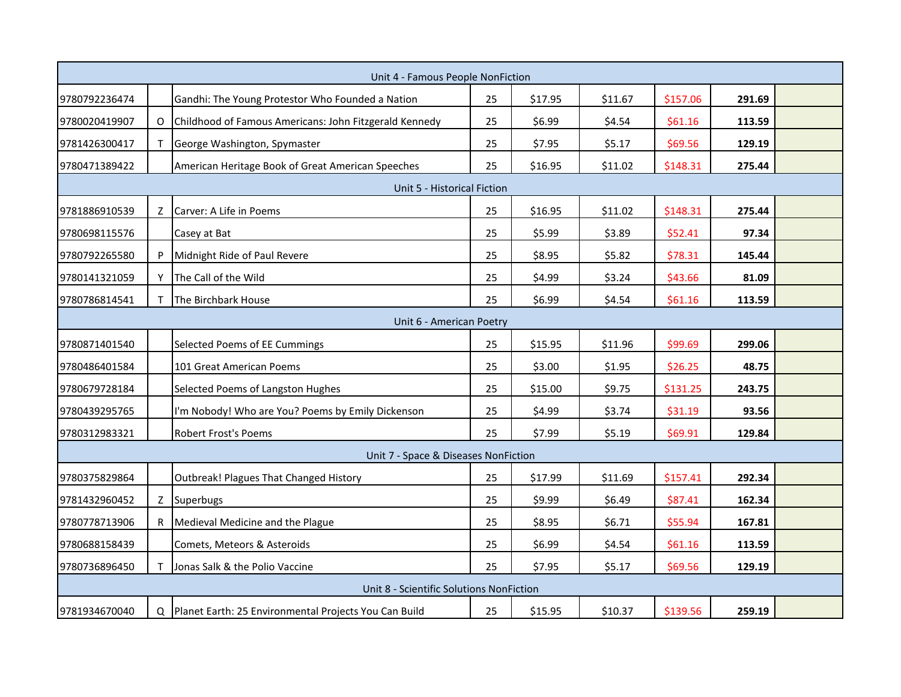|                             |   | Unit 4 - Famous People NonFiction                       |    |         |         |          |        |  |  |
|-----------------------------|---|---------------------------------------------------------|----|---------|---------|----------|--------|--|--|
| 9780792236474               |   | Gandhi: The Young Protestor Who Founded a Nation        | 25 | \$17.95 | \$11.67 | \$157.06 | 291.69 |  |  |
| 9780020419907               | O | Childhood of Famous Americans: John Fitzgerald Kennedy  | 25 | \$6.99  | \$4.54  | \$61.16  | 113.59 |  |  |
| 9781426300417               |   | George Washington, Spymaster                            | 25 | \$7.95  | \$5.17  | \$69.56  | 129.19 |  |  |
| 9780471389422               |   | American Heritage Book of Great American Speeches       | 25 | \$16.95 | \$11.02 | \$148.31 | 275.44 |  |  |
| Unit 5 - Historical Fiction |   |                                                         |    |         |         |          |        |  |  |
| 9781886910539               | z | Carver: A Life in Poems                                 | 25 | \$16.95 | \$11.02 | \$148.31 | 275.44 |  |  |
| 9780698115576               |   | Casey at Bat                                            | 25 | \$5.99  | \$3.89  | \$52.41  | 97.34  |  |  |
| 9780792265580               |   | Midnight Ride of Paul Revere                            | 25 | \$8.95  | \$5.82  | \$78.31  | 145.44 |  |  |
| 9780141321059               |   | The Call of the Wild                                    | 25 | \$4.99  | \$3.24  | \$43.66  | 81.09  |  |  |
| 9780786814541               |   | The Birchbark House                                     | 25 | \$6.99  | \$4.54  | \$61.16  | 113.59 |  |  |
|                             |   | Unit 6 - American Poetry                                |    |         |         |          |        |  |  |
| 9780871401540               |   | Selected Poems of EE Cummings                           | 25 | \$15.95 | \$11.96 | \$99.69  | 299.06 |  |  |
| 9780486401584               |   | 101 Great American Poems                                | 25 | \$3.00  | \$1.95  | \$26.25  | 48.75  |  |  |
| 9780679728184               |   | Selected Poems of Langston Hughes                       | 25 | \$15.00 | \$9.75  | \$131.25 | 243.75 |  |  |
| 9780439295765               |   | I'm Nobody! Who are You? Poems by Emily Dickenson       | 25 | \$4.99  | \$3.74  | \$31.19  | 93.56  |  |  |
| 9780312983321               |   | <b>Robert Frost's Poems</b>                             | 25 | \$7.99  | \$5.19  | \$69.91  | 129.84 |  |  |
|                             |   | Unit 7 - Space & Diseases NonFiction                    |    |         |         |          |        |  |  |
| 9780375829864               |   | Outbreak! Plagues That Changed History                  | 25 | \$17.99 | \$11.69 | \$157.41 | 292.34 |  |  |
| 9781432960452               |   | Z Superbugs                                             | 25 | \$9.99  | \$6.49  | \$87.41  | 162.34 |  |  |
| 9780778713906               |   | R Medieval Medicine and the Plague                      | 25 | \$8.95  | \$6.71  | \$55.94  | 167.81 |  |  |
| 9780688158439               |   | Comets, Meteors & Asteroids                             | 25 | \$6.99  | \$4.54  | \$61.16  | 113.59 |  |  |
| 9780736896450               |   | Jonas Salk & the Polio Vaccine                          | 25 | \$7.95  | \$5.17  | \$69.56  | 129.19 |  |  |
|                             |   | Unit 8 - Scientific Solutions NonFiction                |    |         |         |          |        |  |  |
| 9781934670040               |   | Q Planet Earth: 25 Environmental Projects You Can Build | 25 | \$15.95 | \$10.37 | \$139.56 | 259.19 |  |  |